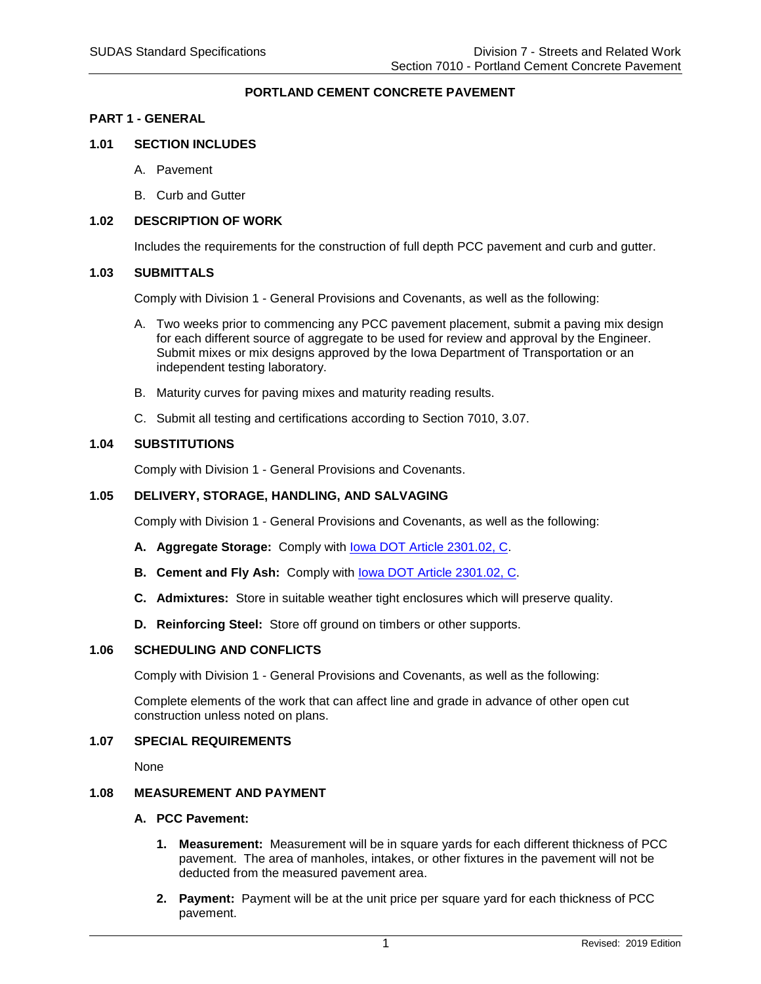## **PORTLAND CEMENT CONCRETE PAVEMENT**

#### **PART 1 - GENERAL**

#### **1.01 SECTION INCLUDES**

- A. Pavement
- B. Curb and Gutter

#### **1.02 DESCRIPTION OF WORK**

Includes the requirements for the construction of full depth PCC pavement and curb and gutter.

#### **1.03 SUBMITTALS**

Comply with Division 1 - General Provisions and Covenants, as well as the following:

- A. Two weeks prior to commencing any PCC pavement placement, submit a paving mix design for each different source of aggregate to be used for review and approval by the Engineer. Submit mixes or mix designs approved by the Iowa Department of Transportation or an independent testing laboratory.
- B. Maturity curves for paving mixes and maturity reading results.
- C. Submit all testing and certifications according to Section 7010, 3.07.

#### **1.04 SUBSTITUTIONS**

Comply with Division 1 - General Provisions and Covenants.

### **1.05 DELIVERY, STORAGE, HANDLING, AND SALVAGING**

Comply with Division 1 - General Provisions and Covenants, as well as the following:

- **A. Aggregate Storage:** Comply with [Iowa DOT Article 2301.02, C.](https://www.iowadot.gov/erl/current/GS/content/2301.htm)
- **B. Cement and Fly Ash:** Comply with **lowa DOT Article 2301.02, C.**
- **C. Admixtures:** Store in suitable weather tight enclosures which will preserve quality.
- **D. Reinforcing Steel:** Store off ground on timbers or other supports.

### **1.06 SCHEDULING AND CONFLICTS**

Comply with Division 1 - General Provisions and Covenants, as well as the following:

Complete elements of the work that can affect line and grade in advance of other open cut construction unless noted on plans.

#### **1.07 SPECIAL REQUIREMENTS**

None

# **1.08 MEASUREMENT AND PAYMENT**

#### **A. PCC Pavement:**

- **1. Measurement:** Measurement will be in square yards for each different thickness of PCC pavement. The area of manholes, intakes, or other fixtures in the pavement will not be deducted from the measured pavement area.
- **2. Payment:** Payment will be at the unit price per square yard for each thickness of PCC pavement.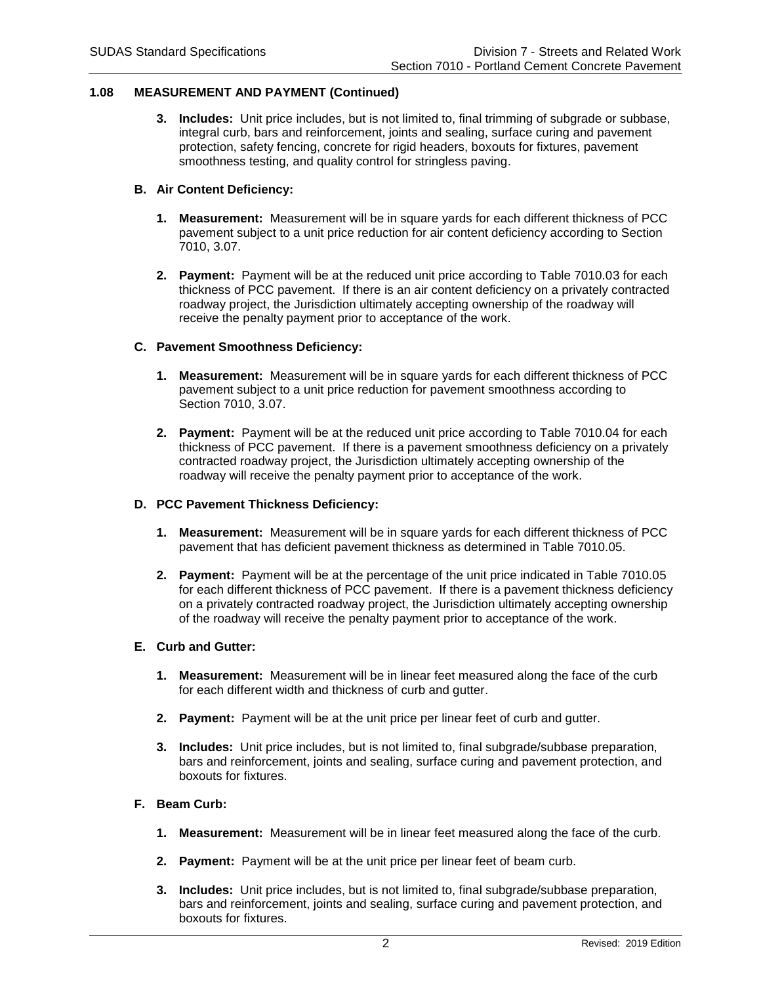## **1.08 MEASUREMENT AND PAYMENT (Continued)**

**3. Includes:** Unit price includes, but is not limited to, final trimming of subgrade or subbase, integral curb, bars and reinforcement, joints and sealing, surface curing and pavement protection, safety fencing, concrete for rigid headers, boxouts for fixtures, pavement smoothness testing, and quality control for stringless paving.

## **B. Air Content Deficiency:**

- **1. Measurement:** Measurement will be in square yards for each different thickness of PCC pavement subject to a unit price reduction for air content deficiency according to Section 7010, 3.07.
- **2. Payment:** Payment will be at the reduced unit price according to Table 7010.03 for each thickness of PCC pavement. If there is an air content deficiency on a privately contracted roadway project, the Jurisdiction ultimately accepting ownership of the roadway will receive the penalty payment prior to acceptance of the work.

## **C. Pavement Smoothness Deficiency:**

- **1. Measurement:** Measurement will be in square yards for each different thickness of PCC pavement subject to a unit price reduction for pavement smoothness according to Section 7010, 3.07.
- **2. Payment:** Payment will be at the reduced unit price according to Table 7010.04 for each thickness of PCC pavement. If there is a pavement smoothness deficiency on a privately contracted roadway project, the Jurisdiction ultimately accepting ownership of the roadway will receive the penalty payment prior to acceptance of the work.

### **D. PCC Pavement Thickness Deficiency:**

- **1. Measurement:** Measurement will be in square yards for each different thickness of PCC pavement that has deficient pavement thickness as determined in Table 7010.05.
- **2. Payment:** Payment will be at the percentage of the unit price indicated in Table 7010.05 for each different thickness of PCC pavement. If there is a pavement thickness deficiency on a privately contracted roadway project, the Jurisdiction ultimately accepting ownership of the roadway will receive the penalty payment prior to acceptance of the work.

### **E. Curb and Gutter:**

- **1. Measurement:** Measurement will be in linear feet measured along the face of the curb for each different width and thickness of curb and gutter.
- **2. Payment:** Payment will be at the unit price per linear feet of curb and gutter.
- **3. Includes:** Unit price includes, but is not limited to, final subgrade/subbase preparation, bars and reinforcement, joints and sealing, surface curing and pavement protection, and boxouts for fixtures.

### **F. Beam Curb:**

- **1. Measurement:** Measurement will be in linear feet measured along the face of the curb.
- **2. Payment:** Payment will be at the unit price per linear feet of beam curb.
- **3. Includes:** Unit price includes, but is not limited to, final subgrade/subbase preparation, bars and reinforcement, joints and sealing, surface curing and pavement protection, and boxouts for fixtures.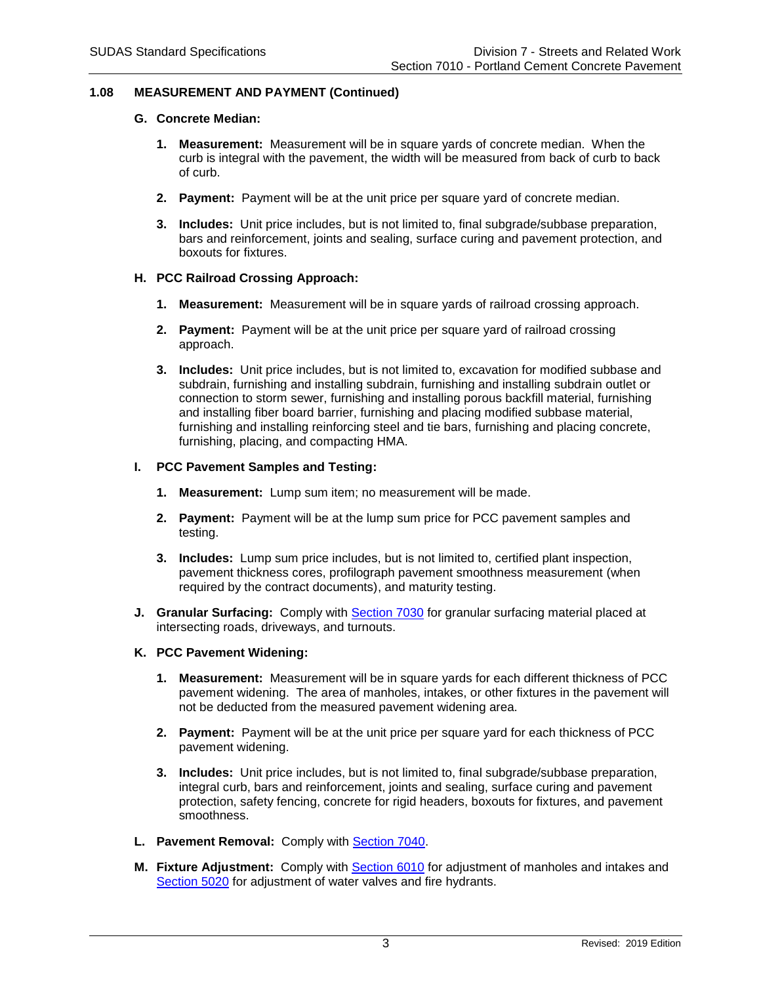## **1.08 MEASUREMENT AND PAYMENT (Continued)**

#### **G. Concrete Median:**

- **1. Measurement:** Measurement will be in square yards of concrete median. When the curb is integral with the pavement, the width will be measured from back of curb to back of curb.
- **2. Payment:** Payment will be at the unit price per square yard of concrete median.
- **3. Includes:** Unit price includes, but is not limited to, final subgrade/subbase preparation, bars and reinforcement, joints and sealing, surface curing and pavement protection, and boxouts for fixtures.

### **H. PCC Railroad Crossing Approach:**

- **1. Measurement:** Measurement will be in square yards of railroad crossing approach.
- **2. Payment:** Payment will be at the unit price per square yard of railroad crossing approach.
- **3. Includes:** Unit price includes, but is not limited to, excavation for modified subbase and subdrain, furnishing and installing subdrain, furnishing and installing subdrain outlet or connection to storm sewer, furnishing and installing porous backfill material, furnishing and installing fiber board barrier, furnishing and placing modified subbase material, furnishing and installing reinforcing steel and tie bars, furnishing and placing concrete, furnishing, placing, and compacting HMA.

### **I. PCC Pavement Samples and Testing:**

- **1. Measurement:** Lump sum item; no measurement will be made.
- **2. Payment:** Payment will be at the lump sum price for PCC pavement samples and testing.
- **3. Includes:** Lump sum price includes, but is not limited to, certified plant inspection, pavement thickness cores, profilograph pavement smoothness measurement (when required by the contract documents), and maturity testing.
- **J. Granular Surfacing:** Comply with [Section 7030](https://intrans.iastate.edu/app/uploads/sites/15/2020/02/7030.pdf) for granular surfacing material placed at intersecting roads, driveways, and turnouts.

### **K. PCC Pavement Widening:**

- **1. Measurement:** Measurement will be in square yards for each different thickness of PCC pavement widening. The area of manholes, intakes, or other fixtures in the pavement will not be deducted from the measured pavement widening area.
- **2. Payment:** Payment will be at the unit price per square yard for each thickness of PCC pavement widening.
- **3. Includes:** Unit price includes, but is not limited to, final subgrade/subbase preparation, integral curb, bars and reinforcement, joints and sealing, surface curing and pavement protection, safety fencing, concrete for rigid headers, boxouts for fixtures, and pavement smoothness.
- **L. Pavement Removal:** Comply with [Section 7040.](https://intrans.iastate.edu/app/uploads/sites/15/2020/02/7040.pdf)
- **M. Fixture Adjustment:** Comply with [Section 6010](https://intrans.iastate.edu/app/uploads/sites/15/2020/02/6010.pdf) for adjustment of manholes and intakes and [Section 5020](https://intrans.iastate.edu/app/uploads/sites/15/2020/02/5020.pdf) for adjustment of water valves and fire hydrants.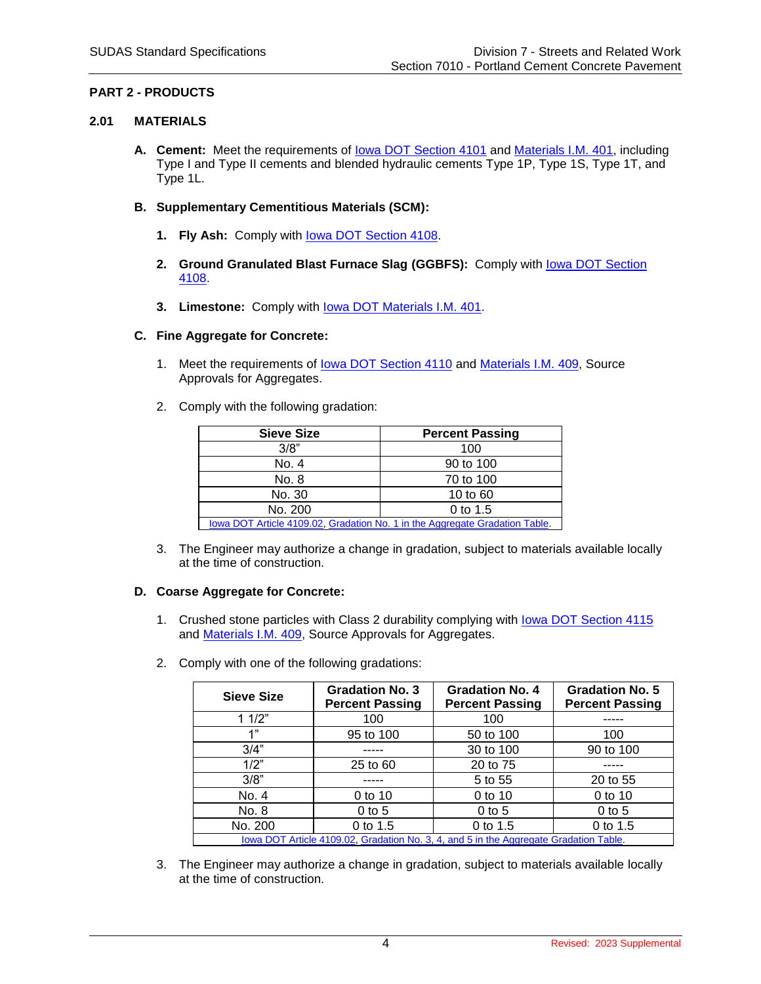# **PART 2 - PRODUCTS**

## **2.01 MATERIALS**

**A. Cement:** Meet the requirements of [Iowa DOT Section 4101](https://www.iowadot.gov/erl/current/GS/content/4101.htm) and [Materials I.M. 401,](https://www.iowadot.gov/erl/current/IM/content/401.htm) including Type I and Type II cements and blended hydraulic cements Type 1P, Type 1S, Type 1T, and Type 1L.

## **B. Supplementary Cementitious Materials (SCM):**

- **1. Fly Ash:** Comply with [Iowa DOT Section 4108.](https://www.iowadot.gov/erl/current/GS/content/4108.htm)
- 2. **Ground Granulated Blast Furnace Slag (GGBFS):** Comply with **lowa DOT Section** [4108.](https://www.iowadot.gov/erl/current/GS/content/4108.htm)
- **3. Limestone:** Comply with [Iowa DOT Materials I.M. 401.](https://www.iowadot.gov/erl/current/IM/content/401.htm)

# **C. Fine Aggregate for Concrete:**

- 1. Meet the requirements of [Iowa DOT Section 4110](https://www.iowadot.gov/erl/current/GS/content/4110.htm) and [Materials I.M.](https://www.iowadot.gov/erl/current/IM/content/409.htm) 409, Source Approvals for Aggregates.
- 2. Comply with the following gradation:

| <b>Sieve Size</b>                                                           | <b>Percent Passing</b> |
|-----------------------------------------------------------------------------|------------------------|
| 3/8"                                                                        | 100                    |
| No. 4                                                                       | 90 to 100              |
| No. 8                                                                       | 70 to 100              |
| No. 30                                                                      | 10 to 60               |
| No. 200                                                                     | 0 to 1.5               |
| lowa DOT Article 4109.02, Gradation No. 1 in the Aggregate Gradation Table. |                        |

3. The Engineer may authorize a change in gradation, subject to materials available locally at the time of construction.

# **D. Coarse Aggregate for Concrete:**

- 1. Crushed stone particles with Class 2 durability complying with lowa DOT Section 4115 and [Materials I.M. 409,](https://www.iowadot.gov/erl/current/IM/content/409.htm) Source Approvals for Aggregates.
- 2. Comply with one of the following gradations:

| <b>Sieve Size</b>                                                                     | <b>Gradation No. 3</b><br><b>Percent Passing</b> | <b>Gradation No. 4</b><br><b>Percent Passing</b> | <b>Gradation No. 5</b><br><b>Percent Passing</b> |
|---------------------------------------------------------------------------------------|--------------------------------------------------|--------------------------------------------------|--------------------------------------------------|
| 11/2"                                                                                 | 100                                              | 100                                              |                                                  |
| 1"                                                                                    | 95 to 100                                        | 50 to 100                                        | 100                                              |
| 3/4"                                                                                  |                                                  | 30 to 100                                        | 90 to 100                                        |
| 1/2"                                                                                  | 25 to 60                                         | 20 to 75                                         |                                                  |
| 3/8"                                                                                  |                                                  | 5 to 55                                          | 20 to 55                                         |
| No. 4                                                                                 | 0 to 10                                          | 0 to 10                                          | 0 to 10                                          |
| No. 8                                                                                 | $0$ to 5                                         | $0$ to 5                                         | $0$ to 5                                         |
| No. 200                                                                               | 0 to 1.5                                         | 0 to 1.5                                         | 0 to 1.5                                         |
| lowa DOT Article 4109.02, Gradation No. 3, 4, and 5 in the Aggregate Gradation Table. |                                                  |                                                  |                                                  |

3. The Engineer may authorize a change in gradation, subject to materials available locally at the time of construction.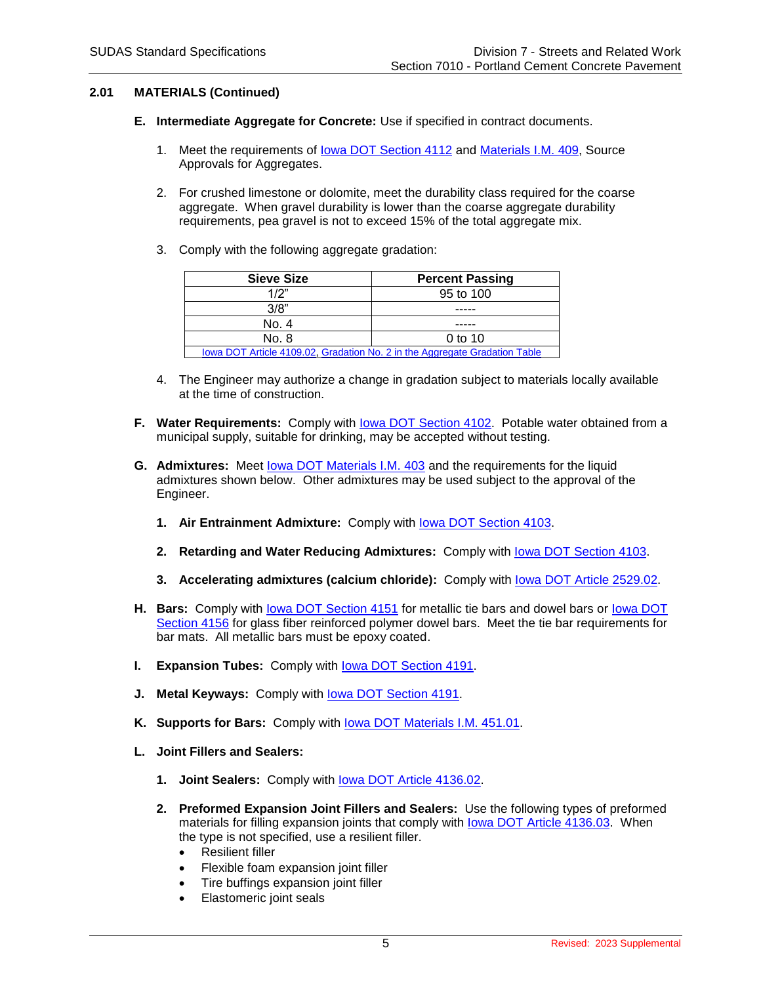## **2.01 MATERIALS (Continued)**

- **E. Intermediate Aggregate for Concrete:** Use if specified in contract documents.
	- 1. Meet the requirements of [Iowa DOT Section 4112](https://www.iowadot.gov/erl/current/GS/content/4112.htm) and [Materials I.M. 409,](https://www.iowadot.gov/erl/current/IM/content/409.htm) Source Approvals for Aggregates.
	- 2. For crushed limestone or dolomite, meet the durability class required for the coarse aggregate. When gravel durability is lower than the coarse aggregate durability requirements, pea gravel is not to exceed 15% of the total aggregate mix.
	- 3. Comply with the following aggregate gradation:

| <b>Sieve Size</b>                                                          | <b>Percent Passing</b> |
|----------------------------------------------------------------------------|------------------------|
| 1/2"                                                                       | 95 to 100              |
| 3/8"                                                                       |                        |
| No. 4                                                                      |                        |
| No. 8                                                                      | $0$ to 10              |
| lowa DOT Article 4109.02, Gradation No. 2 in the Aggregate Gradation Table |                        |

- 4. The Engineer may authorize a change in gradation subject to materials locally available at the time of construction.
- **F. Water Requirements:** Comply with [Iowa DOT Section 4102.](https://www.iowadot.gov/erl/current/GS/content/4102.htm) Potable water obtained from a municipal supply, suitable for drinking, may be accepted without testing.
- **G. Admixtures:** Meet [Iowa DOT Materials I.M. 403](https://www.iowadot.gov/erl/current/IM/content/403.htm) and the requirements for the liquid admixtures shown below. Other admixtures may be used subject to the approval of the Engineer.
	- **1. Air Entrainment Admixture:** Comply with [Iowa DOT Section 4103.](https://www.iowadot.gov/erl/current/GS/content/4103.htm)
	- **2. Retarding and Water Reducing Admixtures:** Comply with [Iowa DOT Section 4103.](https://www.iowadot.gov/erl/current/GS/content/4103.htm)
	- **3. Accelerating admixtures (calcium chloride):** Comply with [Iowa DOT Article](https://www.iowadot.gov/erl/current/GS/content/2529.htm) 2529.02.
- H. Bars: Comply with **lowa DOT Section 4151** for metallic tie bars and dowel bars or lowa DOT [Section 4156](https://iowadot.gov/specifications/new_docs/GS-15014.pdf#page=191) for glass fiber reinforced polymer dowel bars. Meet the tie bar requirements for bar mats. All metallic bars must be epoxy coated.
- **I. Expansion Tubes:** Comply with **lowa DOT Section 4191.**
- **J. Metal Keyways:** Comply with [Iowa DOT Section 4191.](https://www.iowadot.gov/erl/current/GS/content/4191.htm)
- **K. Supports for Bars:** Comply with [Iowa DOT Materials I.M. 451.01.](https://www.iowadot.gov/erl/current/IM/content/451.01.htm)
- **L. Joint Fillers and Sealers:**
	- **1. Joint Sealers:** Comply with [Iowa DOT Article](https://www.iowadot.gov/erl/current/GS/content/4136.htm) 4136.02.
	- **2. Preformed Expansion Joint Fillers and Sealers:** Use the following types of preformed materials for filling expansion joints that comply with [Iowa DOT Article](https://www.iowadot.gov/erl/current/GS/content/4136.htm) 4136.03. When the type is not specified, use a resilient filler.
		- Resilient filler
		- Flexible foam expansion joint filler
			- Tire buffings expansion joint filler
		- Elastomeric joint seals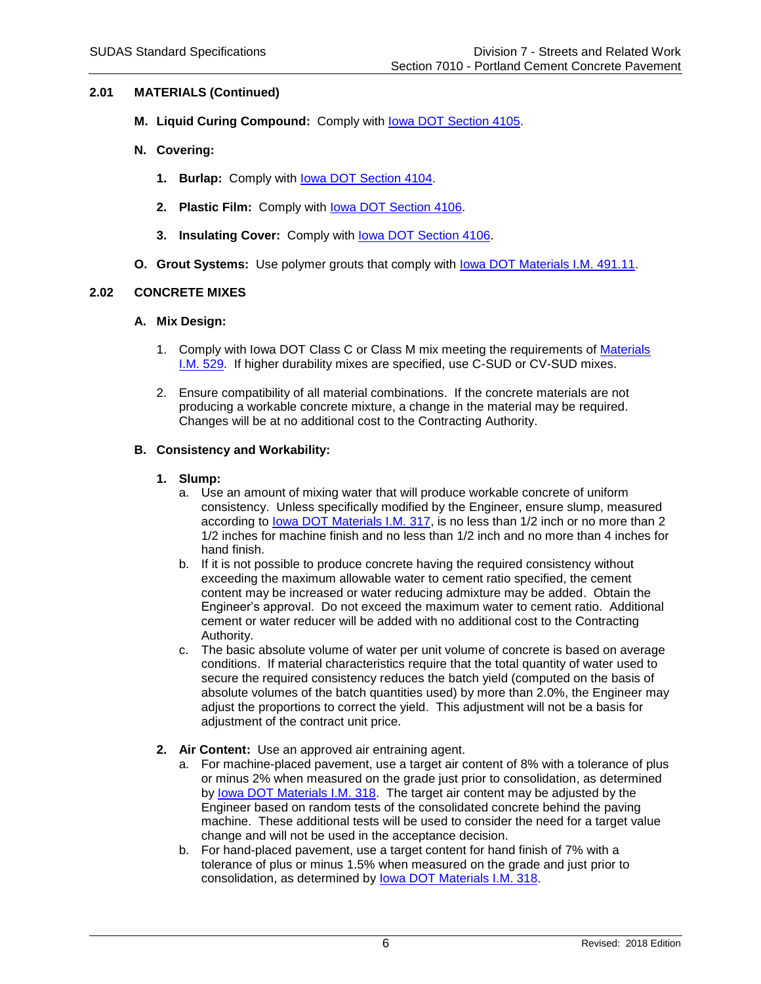## **2.01 MATERIALS (Continued)**

- **M. Liquid Curing Compound:** Comply with [Iowa DOT Section 4105.](https://www.iowadot.gov/erl/current/GS/content/4105.htm)
- **N. Covering:**
	- **1. Burlap:** Comply with [Iowa DOT Section 4104.](https://www.iowadot.gov/erl/current/GS/content/4104.htm)
	- **2. Plastic Film:** Comply with [Iowa DOT Section 4106.](https://www.iowadot.gov/erl/current/GS/content/4106.htm)
	- **3. Insulating Cover:** Comply with [Iowa DOT Section 4106.](https://www.iowadot.gov/erl/current/GS/content/4106.htm)
- **O. Grout Systems:** Use polymer grouts that comply with [Iowa DOT Materials I.M. 491.11.](https://www.iowadot.gov/erl/current/IM/content/491.11.htm)

## **2.02 CONCRETE MIXES**

### **A. Mix Design:**

- 1. Comply with Iowa DOT Class C or Class M mix meeting the requirements of Materials [I.M. 529.](https://www.iowadot.gov/erl/current/IM/content/529.htm) If higher durability mixes are specified, use C-SUD or CV-SUD mixes.
- 2. Ensure compatibility of all material combinations. If the concrete materials are not producing a workable concrete mixture, a change in the material may be required. Changes will be at no additional cost to the Contracting Authority.

## **B. Consistency and Workability:**

### **1. Slump:**

- a. Use an amount of mixing water that will produce workable concrete of uniform consistency. Unless specifically modified by the Engineer, ensure slump, measured according to [Iowa DOT Materials I.M. 317,](https://www.iowadot.gov/erl/current/IM/content/317.htm) is no less than 1/2 inch or no more than 2 1/2 inches for machine finish and no less than 1/2 inch and no more than 4 inches for hand finish.
- b. If it is not possible to produce concrete having the required consistency without exceeding the maximum allowable water to cement ratio specified, the cement content may be increased or water reducing admixture may be added. Obtain the Engineer's approval. Do not exceed the maximum water to cement ratio. Additional cement or water reducer will be added with no additional cost to the Contracting Authority.
- c. The basic absolute volume of water per unit volume of concrete is based on average conditions. If material characteristics require that the total quantity of water used to secure the required consistency reduces the batch yield (computed on the basis of absolute volumes of the batch quantities used) by more than 2.0%, the Engineer may adjust the proportions to correct the yield. This adjustment will not be a basis for adiustment of the contract unit price.
- **2. Air Content:** Use an approved air entraining agent.
	- a. For machine-placed pavement, use a target air content of 8% with a tolerance of plus or minus 2% when measured on the grade just prior to consolidation, as determined by [Iowa DOT Materials I.M. 318.](https://www.iowadot.gov/erl/current/IM/content/318.htm) The target air content may be adjusted by the Engineer based on random tests of the consolidated concrete behind the paving machine. These additional tests will be used to consider the need for a target value change and will not be used in the acceptance decision.
	- b. For hand-placed pavement, use a target content for hand finish of 7% with a tolerance of plus or minus 1.5% when measured on the grade and just prior to consolidation, as determined by [Iowa DOT Materials I.M. 318.](https://www.iowadot.gov/erl/current/IM/content/318.htm)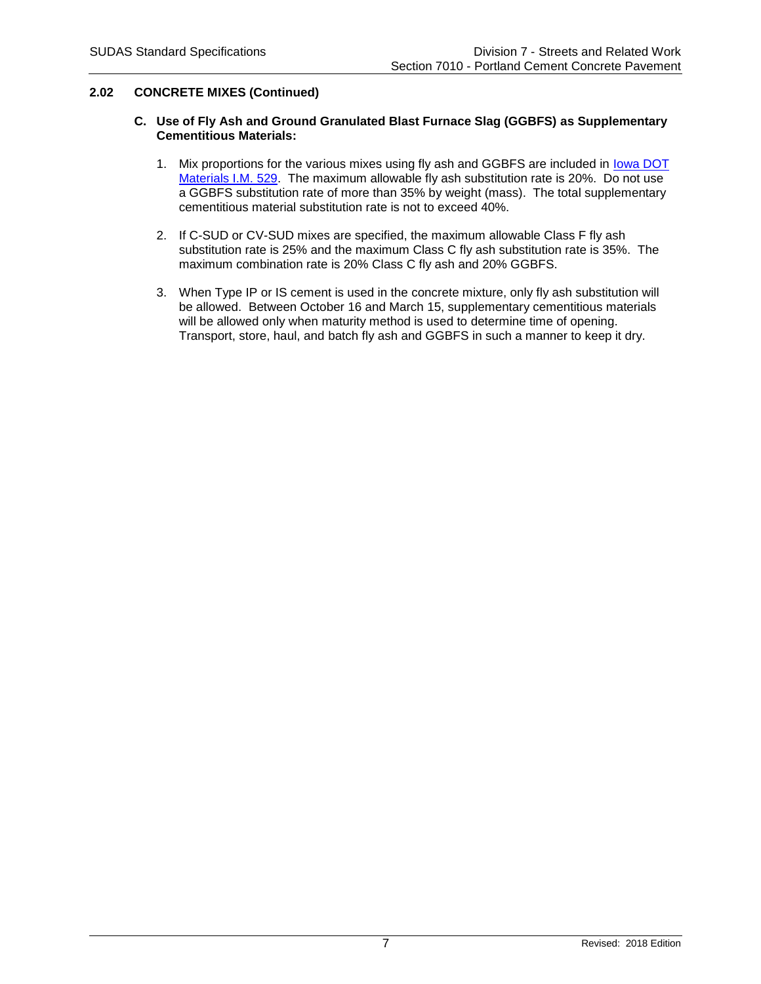## **2.02 CONCRETE MIXES (Continued)**

### **C. Use of Fly Ash and Ground Granulated Blast Furnace Slag (GGBFS) as Supplementary Cementitious Materials:**

- 1. Mix proportions for the various mixes using fly ash and GGBFS are included in [Iowa DOT](https://www.iowadot.gov/erl/current/IM/content/529.htm)  [Materials I.M. 529.](https://www.iowadot.gov/erl/current/IM/content/529.htm) The maximum allowable fly ash substitution rate is 20%. Do not use a GGBFS substitution rate of more than 35% by weight (mass). The total supplementary cementitious material substitution rate is not to exceed 40%.
- 2. If C-SUD or CV-SUD mixes are specified, the maximum allowable Class F fly ash substitution rate is 25% and the maximum Class C fly ash substitution rate is 35%. The maximum combination rate is 20% Class C fly ash and 20% GGBFS.
- 3. When Type IP or IS cement is used in the concrete mixture, only fly ash substitution will be allowed. Between October 16 and March 15, supplementary cementitious materials will be allowed only when maturity method is used to determine time of opening. Transport, store, haul, and batch fly ash and GGBFS in such a manner to keep it dry.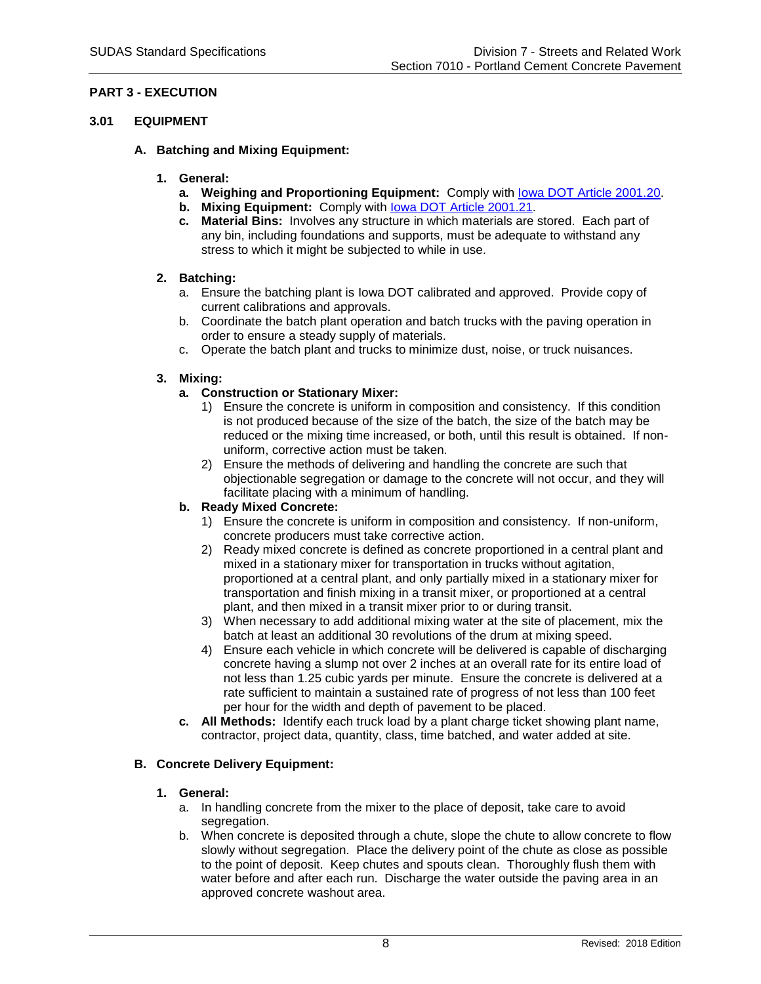## **PART 3 - EXECUTION**

## **3.01 EQUIPMENT**

- **A. Batching and Mixing Equipment:**
	- **1. General:**
		- **a. Weighing and Proportioning Equipment:** Comply with [Iowa DOT Article](https://www.iowadot.gov/erl/current/GS/content/2001.htm#Section200120) 2001.20.
		- **b. Mixing Equipment:** Comply with [Iowa DOT Article](https://www.iowadot.gov/erl/current/GS/content/2001.htm#Section200121) 2001.21.
		- **c. Material Bins:** Involves any structure in which materials are stored. Each part of any bin, including foundations and supports, must be adequate to withstand any stress to which it might be subjected to while in use.

## **2. Batching:**

- a. Ensure the batching plant is Iowa DOT calibrated and approved. Provide copy of current calibrations and approvals.
- b. Coordinate the batch plant operation and batch trucks with the paving operation in order to ensure a steady supply of materials.
- c. Operate the batch plant and trucks to minimize dust, noise, or truck nuisances.

## **3. Mixing:**

# **a. Construction or Stationary Mixer:**

- 1) Ensure the concrete is uniform in composition and consistency. If this condition is not produced because of the size of the batch, the size of the batch may be reduced or the mixing time increased, or both, until this result is obtained. If nonuniform, corrective action must be taken.
- 2) Ensure the methods of delivering and handling the concrete are such that objectionable segregation or damage to the concrete will not occur, and they will facilitate placing with a minimum of handling.

# **b. Ready Mixed Concrete:**

- 1) Ensure the concrete is uniform in composition and consistency. If non-uniform, concrete producers must take corrective action.
- 2) Ready mixed concrete is defined as concrete proportioned in a central plant and mixed in a stationary mixer for transportation in trucks without agitation, proportioned at a central plant, and only partially mixed in a stationary mixer for transportation and finish mixing in a transit mixer, or proportioned at a central plant, and then mixed in a transit mixer prior to or during transit.
- 3) When necessary to add additional mixing water at the site of placement, mix the batch at least an additional 30 revolutions of the drum at mixing speed.
- 4) Ensure each vehicle in which concrete will be delivered is capable of discharging concrete having a slump not over 2 inches at an overall rate for its entire load of not less than 1.25 cubic yards per minute. Ensure the concrete is delivered at a rate sufficient to maintain a sustained rate of progress of not less than 100 feet per hour for the width and depth of pavement to be placed.
- **c. All Methods:** Identify each truck load by a plant charge ticket showing plant name, contractor, project data, quantity, class, time batched, and water added at site.

# **B. Concrete Delivery Equipment:**

### **1. General:**

- a. In handling concrete from the mixer to the place of deposit, take care to avoid segregation.
- b. When concrete is deposited through a chute, slope the chute to allow concrete to flow slowly without segregation. Place the delivery point of the chute as close as possible to the point of deposit. Keep chutes and spouts clean. Thoroughly flush them with water before and after each run. Discharge the water outside the paving area in an approved concrete washout area.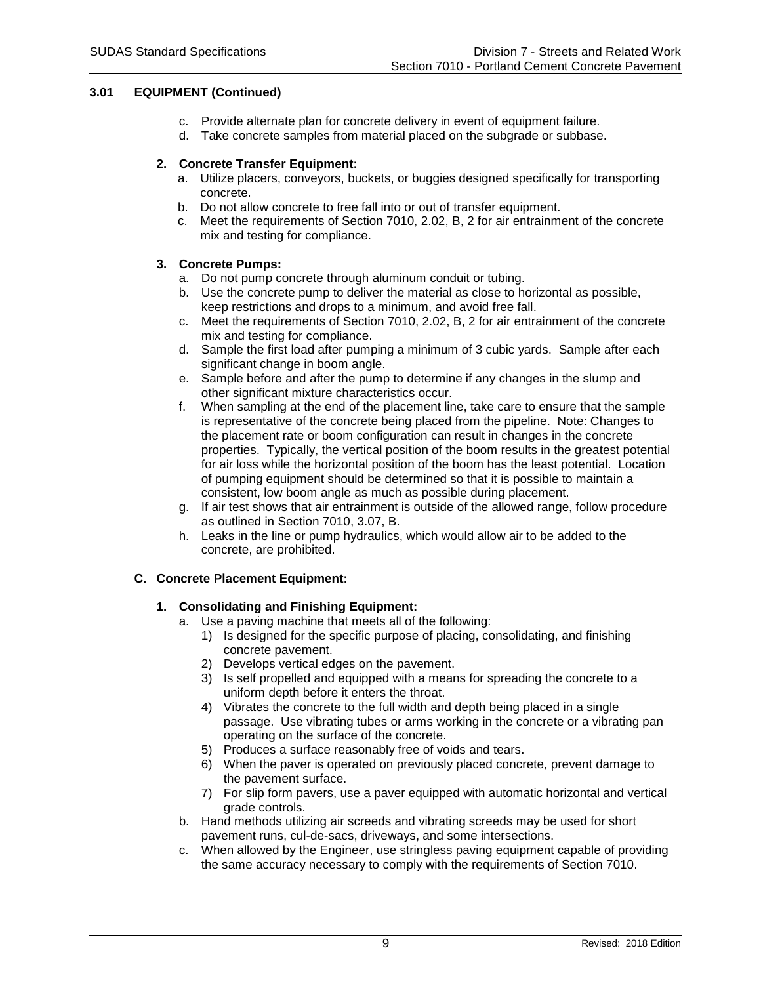## **3.01 EQUIPMENT (Continued)**

- c. Provide alternate plan for concrete delivery in event of equipment failure.
- d. Take concrete samples from material placed on the subgrade or subbase.

## **2. Concrete Transfer Equipment:**

- a. Utilize placers, conveyors, buckets, or buggies designed specifically for transporting concrete.
- b. Do not allow concrete to free fall into or out of transfer equipment.
- c. Meet the requirements of Section 7010, 2.02, B, 2 for air entrainment of the concrete mix and testing for compliance.

## **3. Concrete Pumps:**

- a. Do not pump concrete through aluminum conduit or tubing.
- b. Use the concrete pump to deliver the material as close to horizontal as possible, keep restrictions and drops to a minimum, and avoid free fall.
- c. Meet the requirements of Section 7010, 2.02, B, 2 for air entrainment of the concrete mix and testing for compliance.
- d. Sample the first load after pumping a minimum of 3 cubic yards. Sample after each significant change in boom angle.
- e. Sample before and after the pump to determine if any changes in the slump and other significant mixture characteristics occur.
- f. When sampling at the end of the placement line, take care to ensure that the sample is representative of the concrete being placed from the pipeline. Note: Changes to the placement rate or boom configuration can result in changes in the concrete properties. Typically, the vertical position of the boom results in the greatest potential for air loss while the horizontal position of the boom has the least potential. Location of pumping equipment should be determined so that it is possible to maintain a consistent, low boom angle as much as possible during placement.
- g. If air test shows that air entrainment is outside of the allowed range, follow procedure as outlined in Section 7010, 3.07, B.
- h. Leaks in the line or pump hydraulics, which would allow air to be added to the concrete, are prohibited.

# **C. Concrete Placement Equipment:**

# **1. Consolidating and Finishing Equipment:**

- a. Use a paving machine that meets all of the following:
	- 1) Is designed for the specific purpose of placing, consolidating, and finishing concrete pavement.
	- 2) Develops vertical edges on the pavement.
	- 3) Is self propelled and equipped with a means for spreading the concrete to a uniform depth before it enters the throat.
	- 4) Vibrates the concrete to the full width and depth being placed in a single passage. Use vibrating tubes or arms working in the concrete or a vibrating pan operating on the surface of the concrete.
	- 5) Produces a surface reasonably free of voids and tears.
	- 6) When the paver is operated on previously placed concrete, prevent damage to the pavement surface.
	- 7) For slip form pavers, use a paver equipped with automatic horizontal and vertical grade controls.
- b. Hand methods utilizing air screeds and vibrating screeds may be used for short pavement runs, cul-de-sacs, driveways, and some intersections.
- c. When allowed by the Engineer, use stringless paving equipment capable of providing the same accuracy necessary to comply with the requirements of Section 7010.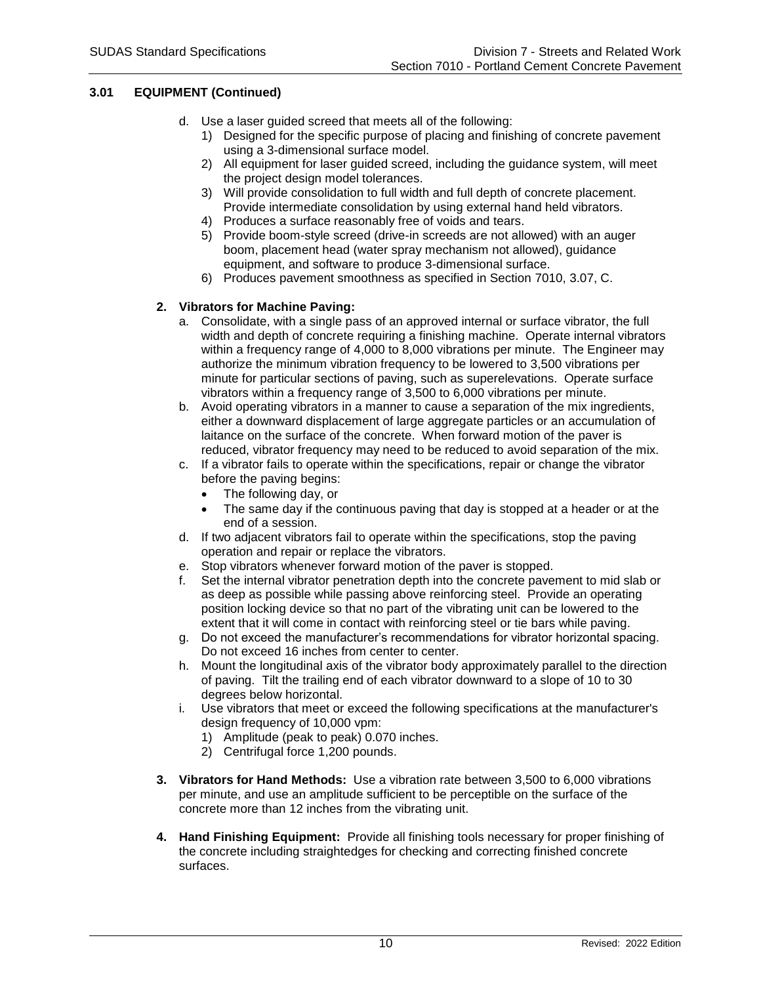## **3.01 EQUIPMENT (Continued)**

- d. Use a laser guided screed that meets all of the following:
	- 1) Designed for the specific purpose of placing and finishing of concrete pavement using a 3-dimensional surface model.
	- 2) All equipment for laser guided screed, including the guidance system, will meet the project design model tolerances.
	- 3) Will provide consolidation to full width and full depth of concrete placement. Provide intermediate consolidation by using external hand held vibrators.
	- 4) Produces a surface reasonably free of voids and tears.
	- 5) Provide boom-style screed (drive-in screeds are not allowed) with an auger boom, placement head (water spray mechanism not allowed), guidance equipment, and software to produce 3-dimensional surface.
	- 6) Produces pavement smoothness as specified in Section 7010, 3.07, C.

### **2. Vibrators for Machine Paving:**

- a. Consolidate, with a single pass of an approved internal or surface vibrator, the full width and depth of concrete requiring a finishing machine. Operate internal vibrators within a frequency range of 4,000 to 8,000 vibrations per minute. The Engineer may authorize the minimum vibration frequency to be lowered to 3,500 vibrations per minute for particular sections of paving, such as superelevations. Operate surface vibrators within a frequency range of 3,500 to 6,000 vibrations per minute.
- b. Avoid operating vibrators in a manner to cause a separation of the mix ingredients, either a downward displacement of large aggregate particles or an accumulation of laitance on the surface of the concrete. When forward motion of the paver is reduced, vibrator frequency may need to be reduced to avoid separation of the mix.
- c. If a vibrator fails to operate within the specifications, repair or change the vibrator before the paving begins:
	- The following day, or
	- The same day if the continuous paving that day is stopped at a header or at the end of a session.
- d. If two adjacent vibrators fail to operate within the specifications, stop the paving operation and repair or replace the vibrators.
- e. Stop vibrators whenever forward motion of the paver is stopped.
- f. Set the internal vibrator penetration depth into the concrete pavement to mid slab or as deep as possible while passing above reinforcing steel. Provide an operating position locking device so that no part of the vibrating unit can be lowered to the extent that it will come in contact with reinforcing steel or tie bars while paving.
- g. Do not exceed the manufacturer's recommendations for vibrator horizontal spacing. Do not exceed 16 inches from center to center.
- h. Mount the longitudinal axis of the vibrator body approximately parallel to the direction of paving. Tilt the trailing end of each vibrator downward to a slope of 10 to 30 degrees below horizontal.
- i. Use vibrators that meet or exceed the following specifications at the manufacturer's design frequency of 10,000 vpm:
	- 1) Amplitude (peak to peak) 0.070 inches.
	- 2) Centrifugal force 1,200 pounds.
- **3. Vibrators for Hand Methods:** Use a vibration rate between 3,500 to 6,000 vibrations per minute, and use an amplitude sufficient to be perceptible on the surface of the concrete more than 12 inches from the vibrating unit.
- **4. Hand Finishing Equipment:** Provide all finishing tools necessary for proper finishing of the concrete including straightedges for checking and correcting finished concrete surfaces.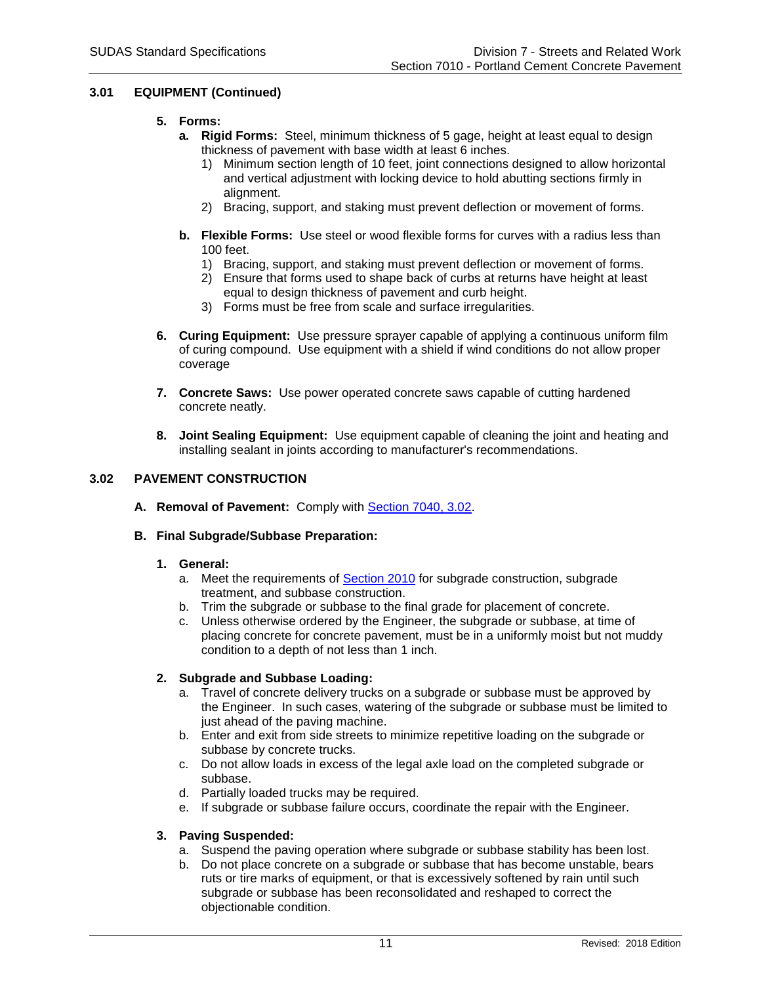## **3.01 EQUIPMENT (Continued)**

## **5. Forms:**

- **a. Rigid Forms:** Steel, minimum thickness of 5 gage, height at least equal to design thickness of pavement with base width at least 6 inches.
	- 1) Minimum section length of 10 feet, joint connections designed to allow horizontal and vertical adjustment with locking device to hold abutting sections firmly in alignment.
	- 2) Bracing, support, and staking must prevent deflection or movement of forms.
- **b. Flexible Forms:** Use steel or wood flexible forms for curves with a radius less than 100 feet.
	- 1) Bracing, support, and staking must prevent deflection or movement of forms.
	- 2) Ensure that forms used to shape back of curbs at returns have height at least equal to design thickness of pavement and curb height.
	- 3) Forms must be free from scale and surface irregularities.
- **6. Curing Equipment:** Use pressure sprayer capable of applying a continuous uniform film of curing compound. Use equipment with a shield if wind conditions do not allow proper coverage
- **7. Concrete Saws:** Use power operated concrete saws capable of cutting hardened concrete neatly.
- **8. Joint Sealing Equipment:** Use equipment capable of cleaning the joint and heating and installing sealant in joints according to manufacturer's recommendations.

## **3.02 PAVEMENT CONSTRUCTION**

**A. Removal of Pavement:** Comply with [Section 7040, 3.02.](https://intrans.iastate.edu/app/uploads/sites/15/2020/02/7040.pdf#page=7)

### **B. Final Subgrade/Subbase Preparation:**

- **1. General:**
	- a. Meet the requirements of [Section 2010](https://intrans.iastate.edu/app/uploads/sites/15/2020/02/2010.pdf) for subgrade construction, subgrade treatment, and subbase construction.
	- b. Trim the subgrade or subbase to the final grade for placement of concrete.
	- c. Unless otherwise ordered by the Engineer, the subgrade or subbase, at time of placing concrete for concrete pavement, must be in a uniformly moist but not muddy condition to a depth of not less than 1 inch.

### **2. Subgrade and Subbase Loading:**

- a. Travel of concrete delivery trucks on a subgrade or subbase must be approved by the Engineer. In such cases, watering of the subgrade or subbase must be limited to just ahead of the paving machine.
- b. Enter and exit from side streets to minimize repetitive loading on the subgrade or subbase by concrete trucks.
- c. Do not allow loads in excess of the legal axle load on the completed subgrade or subbase.
- d. Partially loaded trucks may be required.
- e. If subgrade or subbase failure occurs, coordinate the repair with the Engineer.

### **3. Paving Suspended:**

- a. Suspend the paving operation where subgrade or subbase stability has been lost.
- b. Do not place concrete on a subgrade or subbase that has become unstable, bears ruts or tire marks of equipment, or that is excessively softened by rain until such subgrade or subbase has been reconsolidated and reshaped to correct the objectionable condition.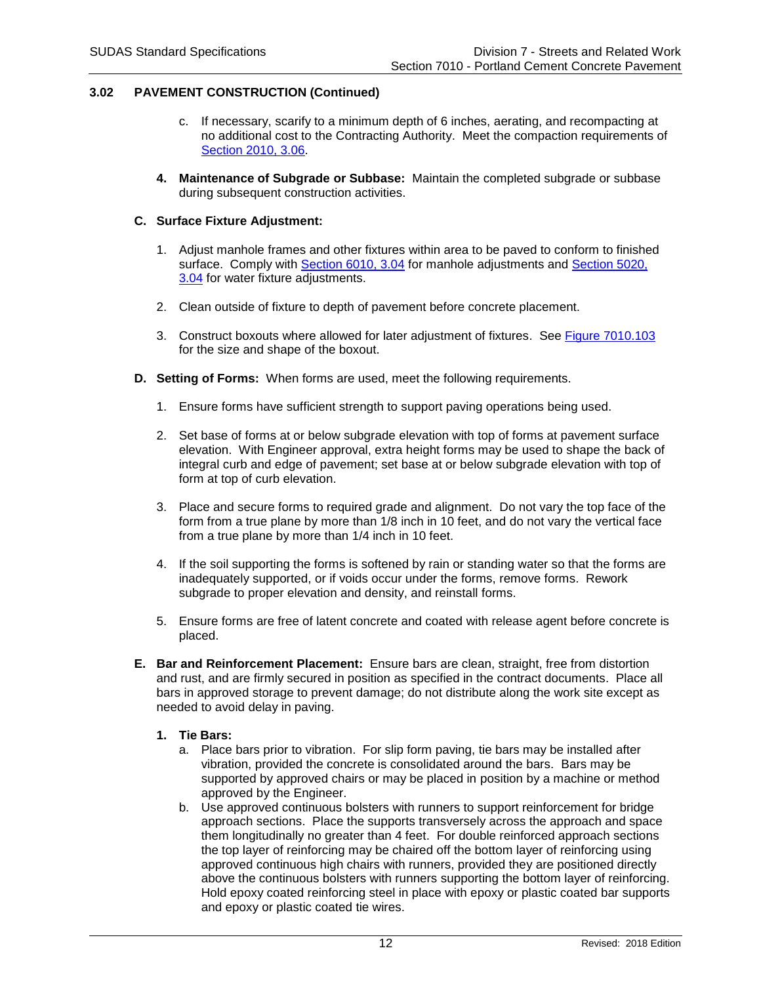- c. If necessary, scarify to a minimum depth of 6 inches, aerating, and recompacting at no additional cost to the Contracting Authority. Meet the compaction requirements of [Section 2010, 3.06.](https://intrans.iastate.edu/app/uploads/sites/15/2020/02/2010.pdf#page=16)
- **4. Maintenance of Subgrade or Subbase:** Maintain the completed subgrade or subbase during subsequent construction activities.

### **C. Surface Fixture Adjustment:**

- 1. Adjust manhole frames and other fixtures within area to be paved to conform to finished surface. Comply with [Section 6010, 3.04](https://intrans.iastate.edu/app/uploads/sites/15/2020/02/6010.pdf#page=15) for manhole adjustments and [Section 5020,](https://intrans.iastate.edu/app/uploads/sites/15/2020/02/5020.pdf#page=7)  [3.04](https://intrans.iastate.edu/app/uploads/sites/15/2020/02/5020.pdf#page=7) for water fixture adjustments.
- 2. Clean outside of fixture to depth of pavement before concrete placement.
- 3. Construct boxouts where allowed for later adjustment of fixtures. See [Figure 7010.103](https://intrans.iastate.edu/app/uploads/sites/15/2020/02/7010_103.pdf) for the size and shape of the boxout.
- **D. Setting of Forms:** When forms are used, meet the following requirements.
	- 1. Ensure forms have sufficient strength to support paving operations being used.
	- 2. Set base of forms at or below subgrade elevation with top of forms at pavement surface elevation. With Engineer approval, extra height forms may be used to shape the back of integral curb and edge of pavement; set base at or below subgrade elevation with top of form at top of curb elevation.
	- 3. Place and secure forms to required grade and alignment. Do not vary the top face of the form from a true plane by more than 1/8 inch in 10 feet, and do not vary the vertical face from a true plane by more than 1/4 inch in 10 feet.
	- 4. If the soil supporting the forms is softened by rain or standing water so that the forms are inadequately supported, or if voids occur under the forms, remove forms. Rework subgrade to proper elevation and density, and reinstall forms.
	- 5. Ensure forms are free of latent concrete and coated with release agent before concrete is placed.
- **E. Bar and Reinforcement Placement:** Ensure bars are clean, straight, free from distortion and rust, and are firmly secured in position as specified in the contract documents. Place all bars in approved storage to prevent damage; do not distribute along the work site except as needed to avoid delay in paving.

### **1. Tie Bars:**

- a. Place bars prior to vibration. For slip form paving, tie bars may be installed after vibration, provided the concrete is consolidated around the bars. Bars may be supported by approved chairs or may be placed in position by a machine or method approved by the Engineer.
- b. Use approved continuous bolsters with runners to support reinforcement for bridge approach sections. Place the supports transversely across the approach and space them longitudinally no greater than 4 feet. For double reinforced approach sections the top layer of reinforcing may be chaired off the bottom layer of reinforcing using approved continuous high chairs with runners, provided they are positioned directly above the continuous bolsters with runners supporting the bottom layer of reinforcing. Hold epoxy coated reinforcing steel in place with epoxy or plastic coated bar supports and epoxy or plastic coated tie wires.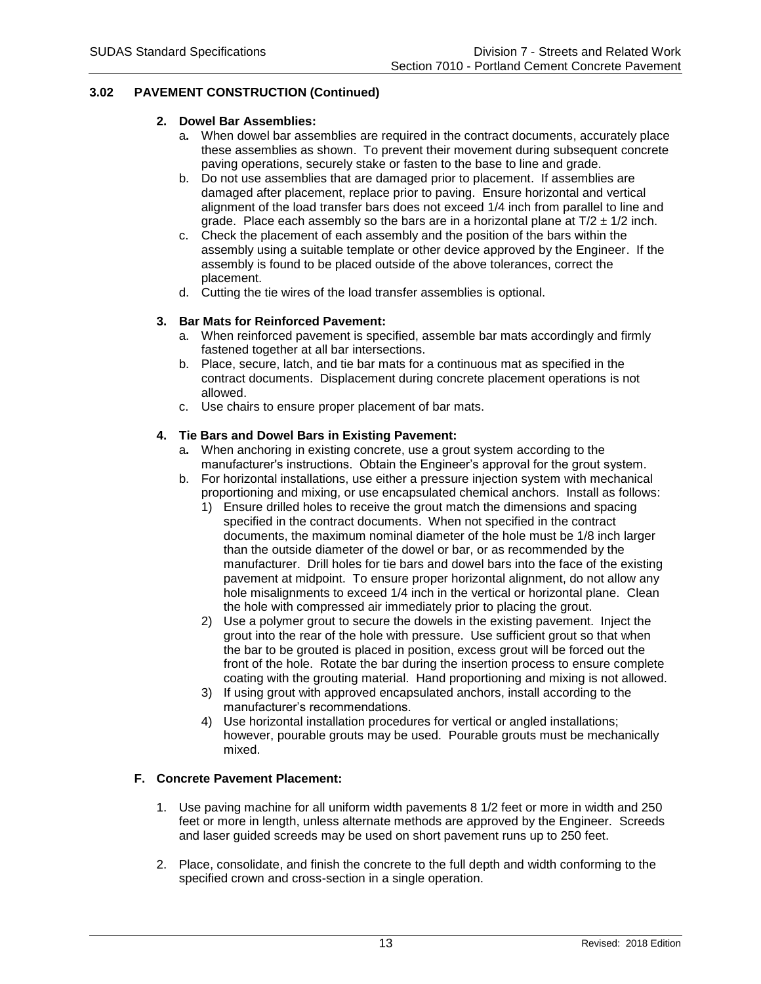### **2. Dowel Bar Assemblies:**

- a**.** When dowel bar assemblies are required in the contract documents, accurately place these assemblies as shown. To prevent their movement during subsequent concrete paving operations, securely stake or fasten to the base to line and grade.
- b. Do not use assemblies that are damaged prior to placement. If assemblies are damaged after placement, replace prior to paving. Ensure horizontal and vertical alignment of the load transfer bars does not exceed 1/4 inch from parallel to line and grade. Place each assembly so the bars are in a horizontal plane at  $T/2 \pm 1/2$  inch.
- c. Check the placement of each assembly and the position of the bars within the assembly using a suitable template or other device approved by the Engineer. If the assembly is found to be placed outside of the above tolerances, correct the placement.
- d. Cutting the tie wires of the load transfer assemblies is optional.

# **3. Bar Mats for Reinforced Pavement:**

- a. When reinforced pavement is specified, assemble bar mats accordingly and firmly fastened together at all bar intersections.
- b. Place, secure, latch, and tie bar mats for a continuous mat as specified in the contract documents. Displacement during concrete placement operations is not allowed.
- c. Use chairs to ensure proper placement of bar mats.

## **4. Tie Bars and Dowel Bars in Existing Pavement:**

- a**.** When anchoring in existing concrete, use a grout system according to the manufacturer's instructions. Obtain the Engineer's approval for the grout system.
- b. For horizontal installations, use either a pressure injection system with mechanical proportioning and mixing, or use encapsulated chemical anchors. Install as follows:
	- 1) Ensure drilled holes to receive the grout match the dimensions and spacing specified in the contract documents. When not specified in the contract documents, the maximum nominal diameter of the hole must be 1/8 inch larger than the outside diameter of the dowel or bar, or as recommended by the manufacturer. Drill holes for tie bars and dowel bars into the face of the existing pavement at midpoint. To ensure proper horizontal alignment, do not allow any hole misalignments to exceed 1/4 inch in the vertical or horizontal plane. Clean the hole with compressed air immediately prior to placing the grout.
	- 2) Use a polymer grout to secure the dowels in the existing pavement. Inject the grout into the rear of the hole with pressure. Use sufficient grout so that when the bar to be grouted is placed in position, excess grout will be forced out the front of the hole. Rotate the bar during the insertion process to ensure complete coating with the grouting material. Hand proportioning and mixing is not allowed.
	- 3) If using grout with approved encapsulated anchors, install according to the manufacturer's recommendations.
	- 4) Use horizontal installation procedures for vertical or angled installations; however, pourable grouts may be used. Pourable grouts must be mechanically mixed.

## **F. Concrete Pavement Placement:**

- 1. Use paving machine for all uniform width pavements 8 1/2 feet or more in width and 250 feet or more in length, unless alternate methods are approved by the Engineer. Screeds and laser guided screeds may be used on short pavement runs up to 250 feet.
- 2. Place, consolidate, and finish the concrete to the full depth and width conforming to the specified crown and cross-section in a single operation.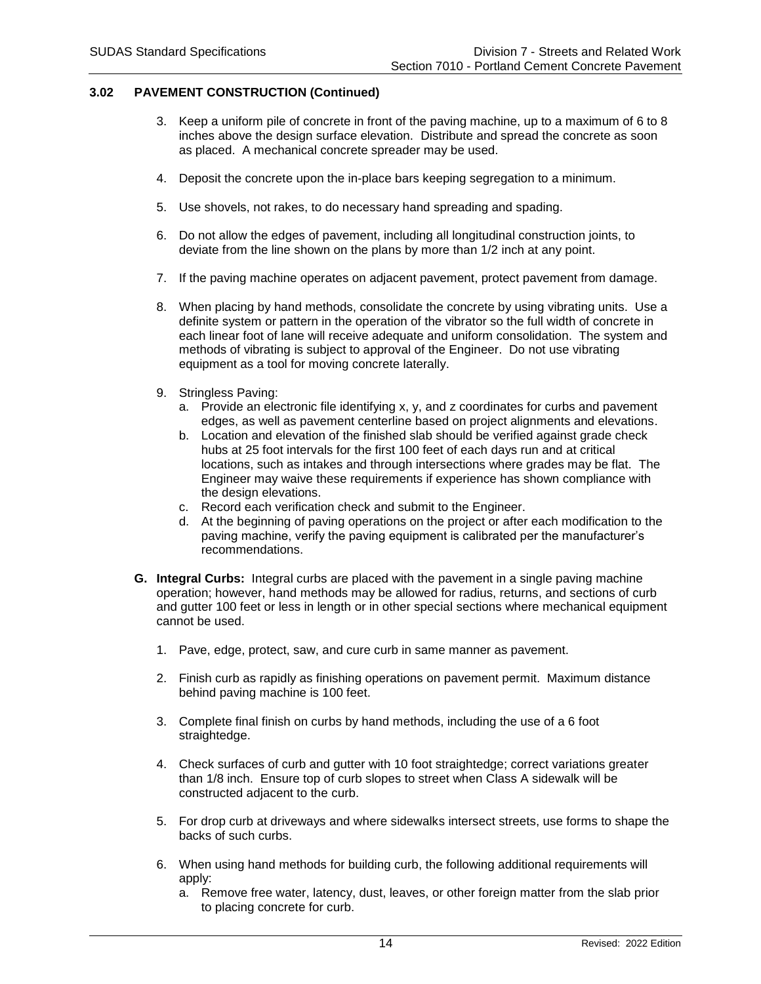- 3. Keep a uniform pile of concrete in front of the paving machine, up to a maximum of 6 to 8 inches above the design surface elevation. Distribute and spread the concrete as soon as placed. A mechanical concrete spreader may be used.
- 4. Deposit the concrete upon the in-place bars keeping segregation to a minimum.
- 5. Use shovels, not rakes, to do necessary hand spreading and spading.
- 6. Do not allow the edges of pavement, including all longitudinal construction joints, to deviate from the line shown on the plans by more than 1/2 inch at any point.
- 7. If the paving machine operates on adjacent pavement, protect pavement from damage.
- 8. When placing by hand methods, consolidate the concrete by using vibrating units. Use a definite system or pattern in the operation of the vibrator so the full width of concrete in each linear foot of lane will receive adequate and uniform consolidation. The system and methods of vibrating is subject to approval of the Engineer. Do not use vibrating equipment as a tool for moving concrete laterally.
- 9. Stringless Paving:
	- a. Provide an electronic file identifying x, y, and z coordinates for curbs and pavement edges, as well as pavement centerline based on project alignments and elevations.
	- b. Location and elevation of the finished slab should be verified against grade check hubs at 25 foot intervals for the first 100 feet of each days run and at critical locations, such as intakes and through intersections where grades may be flat. The Engineer may waive these requirements if experience has shown compliance with the design elevations.
	- c. Record each verification check and submit to the Engineer.
	- d. At the beginning of paving operations on the project or after each modification to the paving machine, verify the paving equipment is calibrated per the manufacturer's recommendations.
- **G. Integral Curbs:** Integral curbs are placed with the pavement in a single paving machine operation; however, hand methods may be allowed for radius, returns, and sections of curb and gutter 100 feet or less in length or in other special sections where mechanical equipment cannot be used.
	- 1. Pave, edge, protect, saw, and cure curb in same manner as pavement.
	- 2. Finish curb as rapidly as finishing operations on pavement permit. Maximum distance behind paving machine is 100 feet.
	- 3. Complete final finish on curbs by hand methods, including the use of a 6 foot straightedge.
	- 4. Check surfaces of curb and gutter with 10 foot straightedge; correct variations greater than 1/8 inch. Ensure top of curb slopes to street when Class A sidewalk will be constructed adjacent to the curb.
	- 5. For drop curb at driveways and where sidewalks intersect streets, use forms to shape the backs of such curbs.
	- 6. When using hand methods for building curb, the following additional requirements will apply:
		- a. Remove free water, latency, dust, leaves, or other foreign matter from the slab prior to placing concrete for curb.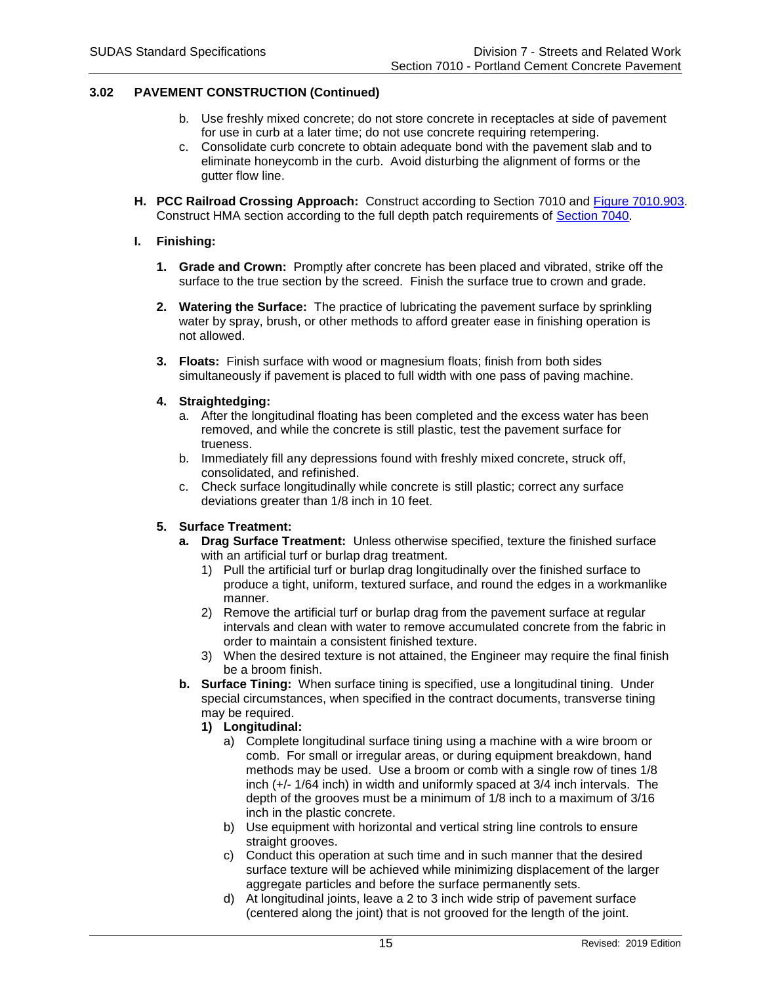- b. Use freshly mixed concrete; do not store concrete in receptacles at side of pavement for use in curb at a later time; do not use concrete requiring retempering.
- c. Consolidate curb concrete to obtain adequate bond with the pavement slab and to eliminate honeycomb in the curb. Avoid disturbing the alignment of forms or the gutter flow line.
- **H. PCC Railroad Crossing Approach:** Construct according to Section 7010 and [Figure 7010.903.](https://intrans.iastate.edu/app/uploads/sites/15/2020/02/7010_903.pdf) Construct HMA section according to the full depth patch requirements of [Section 7040.](https://intrans.iastate.edu/app/uploads/sites/15/2020/02/7040.pdf)

### **I. Finishing:**

- **1. Grade and Crown:** Promptly after concrete has been placed and vibrated, strike off the surface to the true section by the screed. Finish the surface true to crown and grade.
- **2. Watering the Surface:** The practice of lubricating the pavement surface by sprinkling water by spray, brush, or other methods to afford greater ease in finishing operation is not allowed.
- **3. Floats:** Finish surface with wood or magnesium floats; finish from both sides simultaneously if pavement is placed to full width with one pass of paving machine.
- **4. Straightedging:**
	- a. After the longitudinal floating has been completed and the excess water has been removed, and while the concrete is still plastic, test the pavement surface for trueness.
	- b. Immediately fill any depressions found with freshly mixed concrete, struck off, consolidated, and refinished.
	- c. Check surface longitudinally while concrete is still plastic; correct any surface deviations greater than 1/8 inch in 10 feet.

### **5. Surface Treatment:**

- **a. Drag Surface Treatment:** Unless otherwise specified, texture the finished surface with an artificial turf or burlap drag treatment.
	- 1) Pull the artificial turf or burlap drag longitudinally over the finished surface to produce a tight, uniform, textured surface, and round the edges in a workmanlike manner.
	- 2) Remove the artificial turf or burlap drag from the pavement surface at regular intervals and clean with water to remove accumulated concrete from the fabric in order to maintain a consistent finished texture.
	- 3) When the desired texture is not attained, the Engineer may require the final finish be a broom finish.
- **b. Surface Tining:** When surface tining is specified, use a longitudinal tining. Under special circumstances, when specified in the contract documents, transverse tining may be required.

# **1) Longitudinal:**

- a) Complete longitudinal surface tining using a machine with a wire broom or comb. For small or irregular areas, or during equipment breakdown, hand methods may be used. Use a broom or comb with a single row of tines 1/8 inch (+/- 1/64 inch) in width and uniformly spaced at 3/4 inch intervals. The depth of the grooves must be a minimum of 1/8 inch to a maximum of 3/16 inch in the plastic concrete.
- b) Use equipment with horizontal and vertical string line controls to ensure straight grooves.
- c) Conduct this operation at such time and in such manner that the desired surface texture will be achieved while minimizing displacement of the larger aggregate particles and before the surface permanently sets.
- d) At longitudinal joints, leave a 2 to 3 inch wide strip of pavement surface (centered along the joint) that is not grooved for the length of the joint.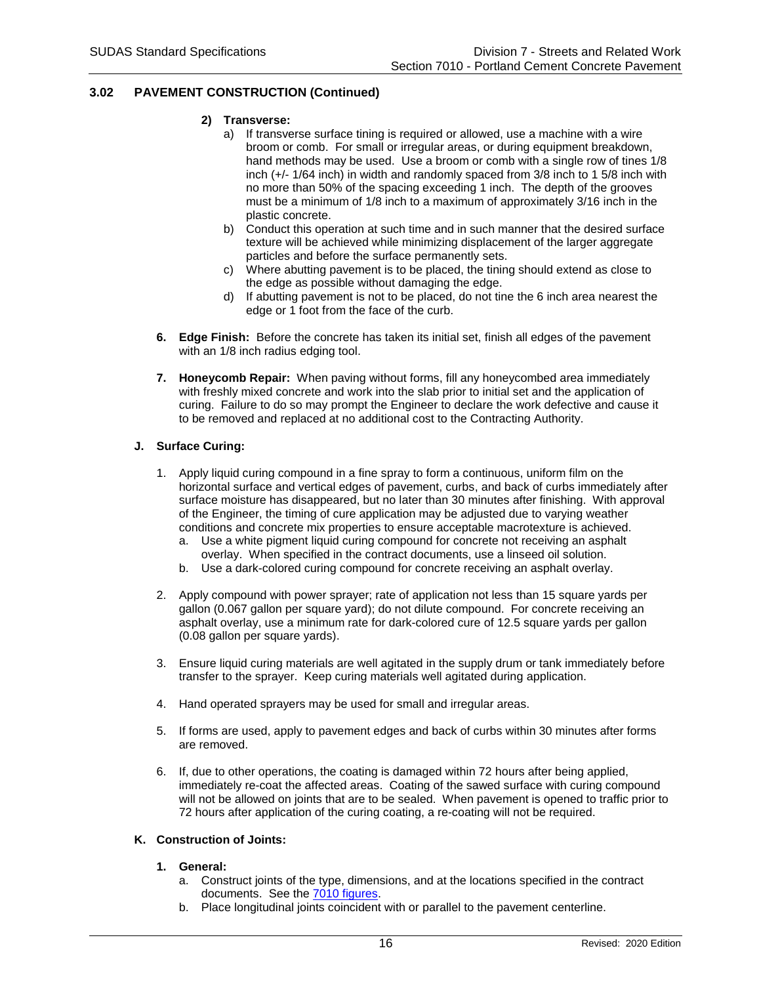- **2) Transverse:**
	- a) If transverse surface tining is required or allowed, use a machine with a wire broom or comb. For small or irregular areas, or during equipment breakdown, hand methods may be used. Use a broom or comb with a single row of tines 1/8 inch (+/- 1/64 inch) in width and randomly spaced from 3/8 inch to 1 5/8 inch with no more than 50% of the spacing exceeding 1 inch. The depth of the grooves must be a minimum of 1/8 inch to a maximum of approximately 3/16 inch in the plastic concrete.
	- b) Conduct this operation at such time and in such manner that the desired surface texture will be achieved while minimizing displacement of the larger aggregate particles and before the surface permanently sets.
	- c) Where abutting pavement is to be placed, the tining should extend as close to the edge as possible without damaging the edge.
	- d) If abutting pavement is not to be placed, do not tine the 6 inch area nearest the edge or 1 foot from the face of the curb.
- **6. Edge Finish:** Before the concrete has taken its initial set, finish all edges of the pavement with an 1/8 inch radius edging tool.
- **7. Honeycomb Repair:** When paving without forms, fill any honeycombed area immediately with freshly mixed concrete and work into the slab prior to initial set and the application of curing. Failure to do so may prompt the Engineer to declare the work defective and cause it to be removed and replaced at no additional cost to the Contracting Authority.

### **J. Surface Curing:**

- 1. Apply liquid curing compound in a fine spray to form a continuous, uniform film on the horizontal surface and vertical edges of pavement, curbs, and back of curbs immediately after surface moisture has disappeared, but no later than 30 minutes after finishing. With approval of the Engineer, the timing of cure application may be adjusted due to varying weather conditions and concrete mix properties to ensure acceptable macrotexture is achieved.
	- a. Use a white pigment liquid curing compound for concrete not receiving an asphalt overlay. When specified in the contract documents, use a linseed oil solution.
	- b. Use a dark-colored curing compound for concrete receiving an asphalt overlay.
- 2. Apply compound with power sprayer; rate of application not less than 15 square yards per gallon (0.067 gallon per square yard); do not dilute compound. For concrete receiving an asphalt overlay, use a minimum rate for dark-colored cure of 12.5 square yards per gallon (0.08 gallon per square yards).
- 3. Ensure liquid curing materials are well agitated in the supply drum or tank immediately before transfer to the sprayer. Keep curing materials well agitated during application.
- 4. Hand operated sprayers may be used for small and irregular areas.
- 5. If forms are used, apply to pavement edges and back of curbs within 30 minutes after forms are removed.
- 6. If, due to other operations, the coating is damaged within 72 hours after being applied, immediately re-coat the affected areas. Coating of the sawed surface with curing compound will not be allowed on joints that are to be sealed. When pavement is opened to traffic prior to 72 hours after application of the curing coating, a re-coating will not be required.

### **K. Construction of Joints:**

### **1. General:**

- a. Construct joints of the type, dimensions, and at the locations specified in the contract documents. See the [7010 figures.](https://iowasudas.org/manuals/specifications-manual/#division-7-streets-and-related-work)
- b. Place longitudinal joints coincident with or parallel to the pavement centerline.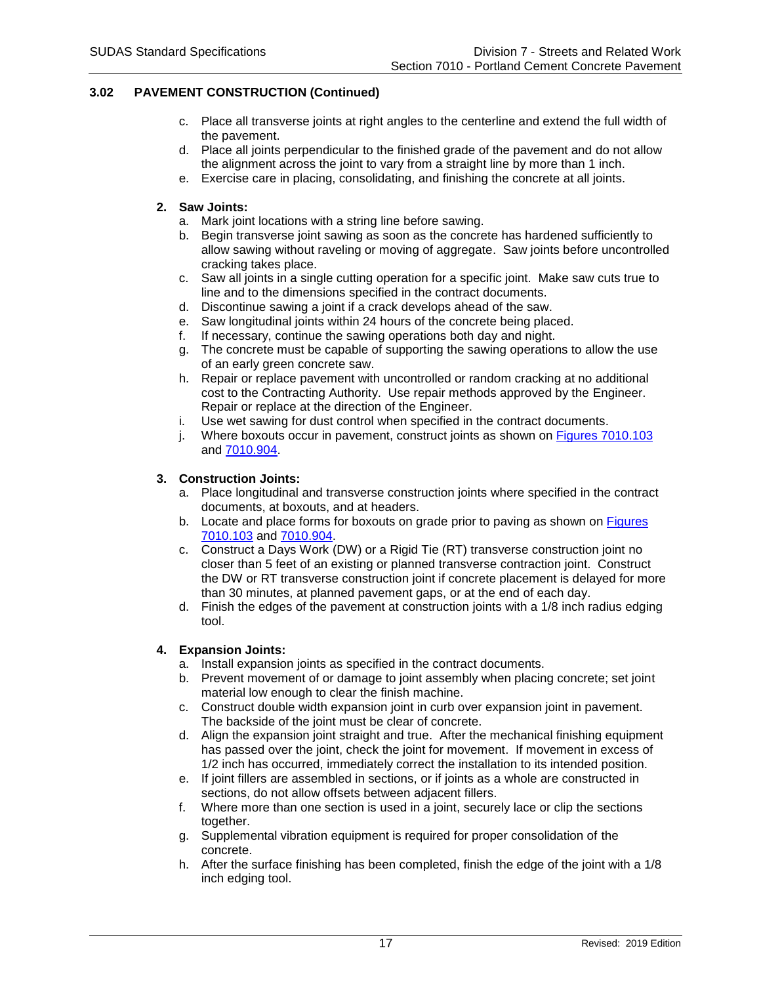- c. Place all transverse joints at right angles to the centerline and extend the full width of the pavement.
- d. Place all joints perpendicular to the finished grade of the pavement and do not allow the alignment across the joint to vary from a straight line by more than 1 inch.
- e. Exercise care in placing, consolidating, and finishing the concrete at all joints.

## **2. Saw Joints:**

- a. Mark joint locations with a string line before sawing.
- b. Begin transverse joint sawing as soon as the concrete has hardened sufficiently to allow sawing without raveling or moving of aggregate. Saw joints before uncontrolled cracking takes place.
- c. Saw all joints in a single cutting operation for a specific joint. Make saw cuts true to line and to the dimensions specified in the contract documents.
- d. Discontinue sawing a joint if a crack develops ahead of the saw.
- e. Saw longitudinal joints within 24 hours of the concrete being placed.
- f. If necessary, continue the sawing operations both day and night.
- g. The concrete must be capable of supporting the sawing operations to allow the use of an early green concrete saw.
- h. Repair or replace pavement with uncontrolled or random cracking at no additional cost to the Contracting Authority. Use repair methods approved by the Engineer. Repair or replace at the direction of the Engineer.
- i. Use wet sawing for dust control when specified in the contract documents.
- j. Where boxouts occur in pavement, construct joints as shown on Figures [7010.103](https://intrans.iastate.edu/app/uploads/sites/15/2020/02/7010_103.pdf) and [7010.904.](https://intrans.iastate.edu/app/uploads/sites/15/2020/02/7010_904.pdf)

## **3. Construction Joints:**

- a. Place longitudinal and transverse construction joints where specified in the contract documents, at boxouts, and at headers.
- b. Locate and place forms for boxouts on grade prior to paving as shown on [Figures](https://intrans.iastate.edu/app/uploads/sites/15/2020/02/7010_103.pdf) [7010.103](https://intrans.iastate.edu/app/uploads/sites/15/2020/02/7010_103.pdf) and [7010.904.](https://intrans.iastate.edu/app/uploads/sites/15/2020/02/7010_904.pdf)
- c. Construct a Days Work (DW) or a Rigid Tie (RT) transverse construction joint no closer than 5 feet of an existing or planned transverse contraction joint. Construct the DW or RT transverse construction joint if concrete placement is delayed for more than 30 minutes, at planned pavement gaps, or at the end of each day.
- d. Finish the edges of the pavement at construction joints with a 1/8 inch radius edging tool.

# **4. Expansion Joints:**

- a. Install expansion joints as specified in the contract documents.
- b. Prevent movement of or damage to joint assembly when placing concrete; set joint material low enough to clear the finish machine.
- c. Construct double width expansion joint in curb over expansion joint in pavement. The backside of the joint must be clear of concrete.
- d. Align the expansion joint straight and true. After the mechanical finishing equipment has passed over the joint, check the joint for movement. If movement in excess of 1/2 inch has occurred, immediately correct the installation to its intended position.
- e. If joint fillers are assembled in sections, or if joints as a whole are constructed in sections, do not allow offsets between adjacent fillers.
- f. Where more than one section is used in a joint, securely lace or clip the sections together.
- g. Supplemental vibration equipment is required for proper consolidation of the concrete.
- h. After the surface finishing has been completed, finish the edge of the joint with a 1/8 inch edging tool.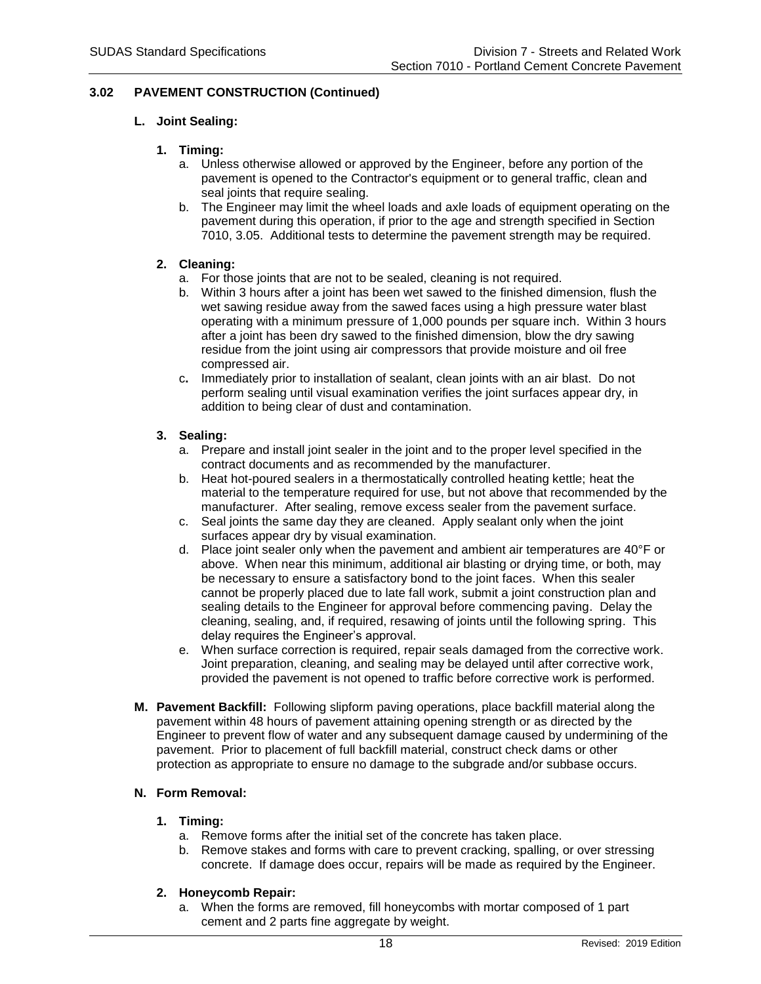## **L. Joint Sealing:**

## **1. Timing:**

- a. Unless otherwise allowed or approved by the Engineer, before any portion of the pavement is opened to the Contractor's equipment or to general traffic, clean and seal joints that require sealing.
- b. The Engineer may limit the wheel loads and axle loads of equipment operating on the pavement during this operation, if prior to the age and strength specified in Section 7010, 3.05. Additional tests to determine the pavement strength may be required.

## **2. Cleaning:**

- a. For those joints that are not to be sealed, cleaning is not required.
- b. Within 3 hours after a joint has been wet sawed to the finished dimension, flush the wet sawing residue away from the sawed faces using a high pressure water blast operating with a minimum pressure of 1,000 pounds per square inch. Within 3 hours after a joint has been dry sawed to the finished dimension, blow the dry sawing residue from the joint using air compressors that provide moisture and oil free compressed air.
- c**.** Immediately prior to installation of sealant, clean joints with an air blast. Do not perform sealing until visual examination verifies the joint surfaces appear dry, in addition to being clear of dust and contamination.

## **3. Sealing:**

- a. Prepare and install joint sealer in the joint and to the proper level specified in the contract documents and as recommended by the manufacturer.
- b. Heat hot-poured sealers in a thermostatically controlled heating kettle; heat the material to the temperature required for use, but not above that recommended by the manufacturer. After sealing, remove excess sealer from the pavement surface.
- c. Seal joints the same day they are cleaned. Apply sealant only when the joint surfaces appear dry by visual examination.
- d. Place joint sealer only when the pavement and ambient air temperatures are 40°F or above. When near this minimum, additional air blasting or drying time, or both, may be necessary to ensure a satisfactory bond to the joint faces. When this sealer cannot be properly placed due to late fall work, submit a joint construction plan and sealing details to the Engineer for approval before commencing paving. Delay the cleaning, sealing, and, if required, resawing of joints until the following spring. This delay requires the Engineer's approval.
- e. When surface correction is required, repair seals damaged from the corrective work. Joint preparation, cleaning, and sealing may be delayed until after corrective work, provided the pavement is not opened to traffic before corrective work is performed.
- **M. Pavement Backfill:** Following slipform paving operations, place backfill material along the pavement within 48 hours of pavement attaining opening strength or as directed by the Engineer to prevent flow of water and any subsequent damage caused by undermining of the pavement. Prior to placement of full backfill material, construct check dams or other protection as appropriate to ensure no damage to the subgrade and/or subbase occurs.

# **N. Form Removal:**

### **1. Timing:**

- a. Remove forms after the initial set of the concrete has taken place.
- b. Remove stakes and forms with care to prevent cracking, spalling, or over stressing concrete. If damage does occur, repairs will be made as required by the Engineer.

### **2. Honeycomb Repair:**

a. When the forms are removed, fill honeycombs with mortar composed of 1 part cement and 2 parts fine aggregate by weight.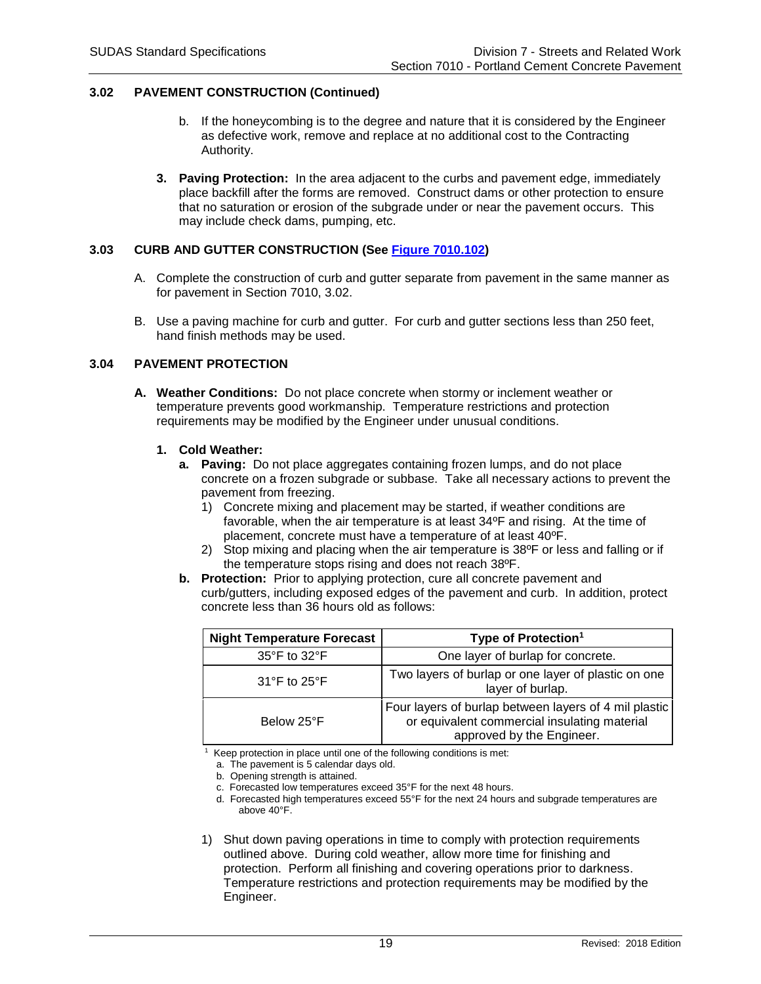- b. If the honeycombing is to the degree and nature that it is considered by the Engineer as defective work, remove and replace at no additional cost to the Contracting Authority.
- **3. Paving Protection:** In the area adjacent to the curbs and pavement edge, immediately place backfill after the forms are removed. Construct dams or other protection to ensure that no saturation or erosion of the subgrade under or near the pavement occurs. This may include check dams, pumping, etc.

## **3.03 CURB AND GUTTER CONSTRUCTION (See [Figure 7010.102\)](https://intrans.iastate.edu/app/uploads/sites/15/2020/02/7010_102.pdf)**

- A. Complete the construction of curb and gutter separate from pavement in the same manner as for pavement in Section 7010, 3.02.
- B. Use a paving machine for curb and gutter. For curb and gutter sections less than 250 feet, hand finish methods may be used.

## **3.04 PAVEMENT PROTECTION**

**A. Weather Conditions:** Do not place concrete when stormy or inclement weather or temperature prevents good workmanship. Temperature restrictions and protection requirements may be modified by the Engineer under unusual conditions.

### **1. Cold Weather:**

- **a. Paving:** Do not place aggregates containing frozen lumps, and do not place concrete on a frozen subgrade or subbase. Take all necessary actions to prevent the pavement from freezing.
	- 1) Concrete mixing and placement may be started, if weather conditions are favorable, when the air temperature is at least 34ºF and rising. At the time of placement, concrete must have a temperature of at least 40ºF.
	- 2) Stop mixing and placing when the air temperature is 38ºF or less and falling or if the temperature stops rising and does not reach 38ºF.
- **b. Protection:** Prior to applying protection, cure all concrete pavement and curb/gutters, including exposed edges of the pavement and curb. In addition, protect concrete less than 36 hours old as follows:

| <b>Night Temperature Forecast</b> | Type of Protection <sup>1</sup>                                                                                                    |
|-----------------------------------|------------------------------------------------------------------------------------------------------------------------------------|
| $35^{\circ}$ F to $32^{\circ}$ F  | One layer of burlap for concrete.                                                                                                  |
| $31^{\circ}$ F to $25^{\circ}$ F  | Two layers of burlap or one layer of plastic on one<br>layer of burlap.                                                            |
| Below 25°F                        | Four layers of burlap between layers of 4 mil plastic<br>or equivalent commercial insulating material<br>approved by the Engineer. |

1 Keep protection in place until one of the following conditions is met:

a. The pavement is 5 calendar days old.

b. Opening strength is attained.

c. Forecasted low temperatures exceed 35°F for the next 48 hours.

d. Forecasted high temperatures exceed 55°F for the next 24 hours and subgrade temperatures are above 40°F.

1) Shut down paving operations in time to comply with protection requirements outlined above. During cold weather, allow more time for finishing and protection. Perform all finishing and covering operations prior to darkness. Temperature restrictions and protection requirements may be modified by the Engineer.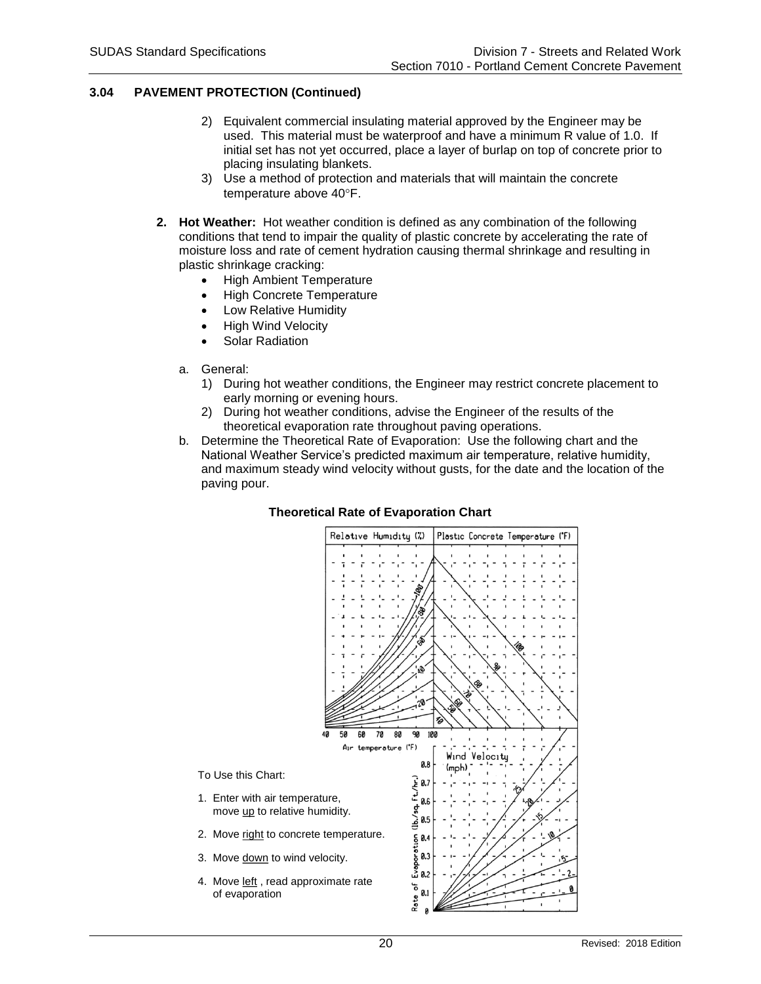## **3.04 PAVEMENT PROTECTION (Continued)**

- 2) Equivalent commercial insulating material approved by the Engineer may be used. This material must be waterproof and have a minimum R value of 1.0. If initial set has not yet occurred, place a layer of burlap on top of concrete prior to placing insulating blankets.
- 3) Use a method of protection and materials that will maintain the concrete temperature above 40°F.
- **2. Hot Weather:** Hot weather condition is defined as any combination of the following conditions that tend to impair the quality of plastic concrete by accelerating the rate of moisture loss and rate of cement hydration causing thermal shrinkage and resulting in plastic shrinkage cracking:
	- High Ambient Temperature
	- High Concrete Temperature
	- Low Relative Humidity
	- High Wind Velocity
	- Solar Radiation
	- a. General:
		- 1) During hot weather conditions, the Engineer may restrict concrete placement to early morning or evening hours.
		- 2) During hot weather conditions, advise the Engineer of the results of the theoretical evaporation rate throughout paving operations.
	- b. Determine the Theoretical Rate of Evaporation: Use the following chart and the National Weather Service's predicted maximum air temperature, relative humidity, and maximum steady wind velocity without gusts, for the date and the location of the paving pour.

# **Theoretical Rate of Evaporation Chart**

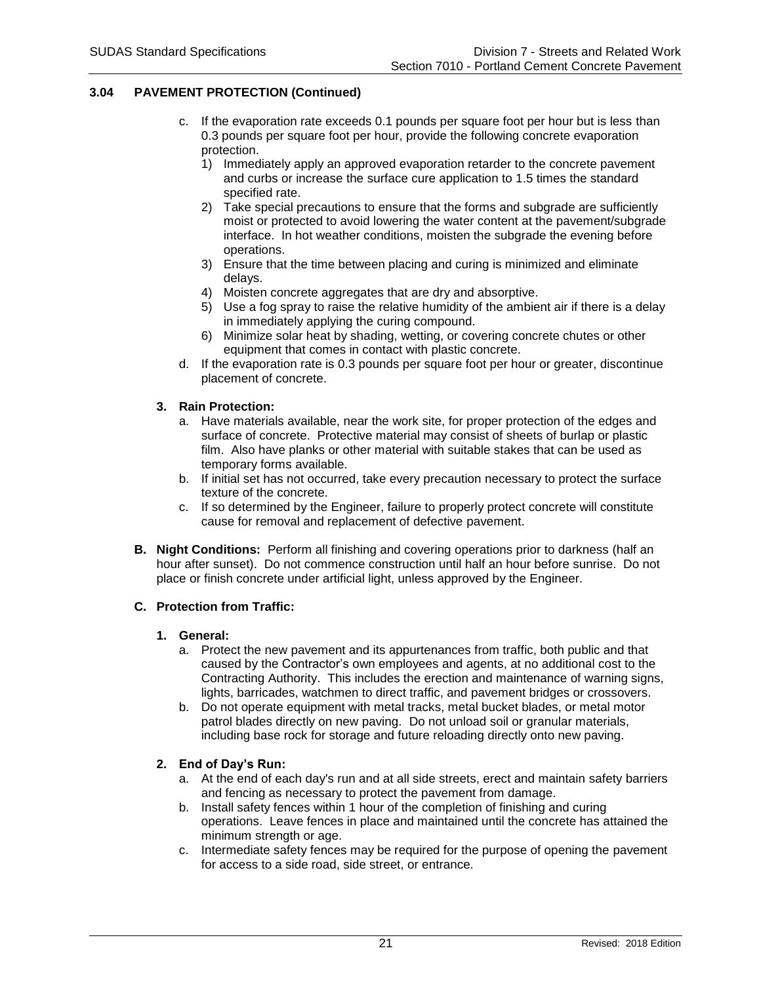## **3.04 PAVEMENT PROTECTION (Continued)**

- c. If the evaporation rate exceeds 0.1 pounds per square foot per hour but is less than 0.3 pounds per square foot per hour, provide the following concrete evaporation protection.
	- 1) Immediately apply an approved evaporation retarder to the concrete pavement and curbs or increase the surface cure application to 1.5 times the standard specified rate.
	- 2) Take special precautions to ensure that the forms and subgrade are sufficiently moist or protected to avoid lowering the water content at the pavement/subgrade interface. In hot weather conditions, moisten the subgrade the evening before operations.
	- 3) Ensure that the time between placing and curing is minimized and eliminate delays.
	- 4) Moisten concrete aggregates that are dry and absorptive.
	- 5) Use a fog spray to raise the relative humidity of the ambient air if there is a delay in immediately applying the curing compound.
	- 6) Minimize solar heat by shading, wetting, or covering concrete chutes or other equipment that comes in contact with plastic concrete.
- d. If the evaporation rate is 0.3 pounds per square foot per hour or greater, discontinue placement of concrete.

## **3. Rain Protection:**

- a. Have materials available, near the work site, for proper protection of the edges and surface of concrete. Protective material may consist of sheets of burlap or plastic film. Also have planks or other material with suitable stakes that can be used as temporary forms available.
- b. If initial set has not occurred, take every precaution necessary to protect the surface texture of the concrete.
- c. If so determined by the Engineer, failure to properly protect concrete will constitute cause for removal and replacement of defective pavement.
- **B. Night Conditions:** Perform all finishing and covering operations prior to darkness (half an hour after sunset). Do not commence construction until half an hour before sunrise. Do not place or finish concrete under artificial light, unless approved by the Engineer.

### **C. Protection from Traffic:**

## **1. General:**

- a. Protect the new pavement and its appurtenances from traffic, both public and that caused by the Contractor's own employees and agents, at no additional cost to the Contracting Authority. This includes the erection and maintenance of warning signs, lights, barricades, watchmen to direct traffic, and pavement bridges or crossovers.
- b. Do not operate equipment with metal tracks, metal bucket blades, or metal motor patrol blades directly on new paving. Do not unload soil or granular materials, including base rock for storage and future reloading directly onto new paving.

### **2. End of Day's Run:**

- a. At the end of each day's run and at all side streets, erect and maintain safety barriers and fencing as necessary to protect the pavement from damage.
- b. Install safety fences within 1 hour of the completion of finishing and curing operations. Leave fences in place and maintained until the concrete has attained the minimum strength or age.
- c. Intermediate safety fences may be required for the purpose of opening the pavement for access to a side road, side street, or entrance.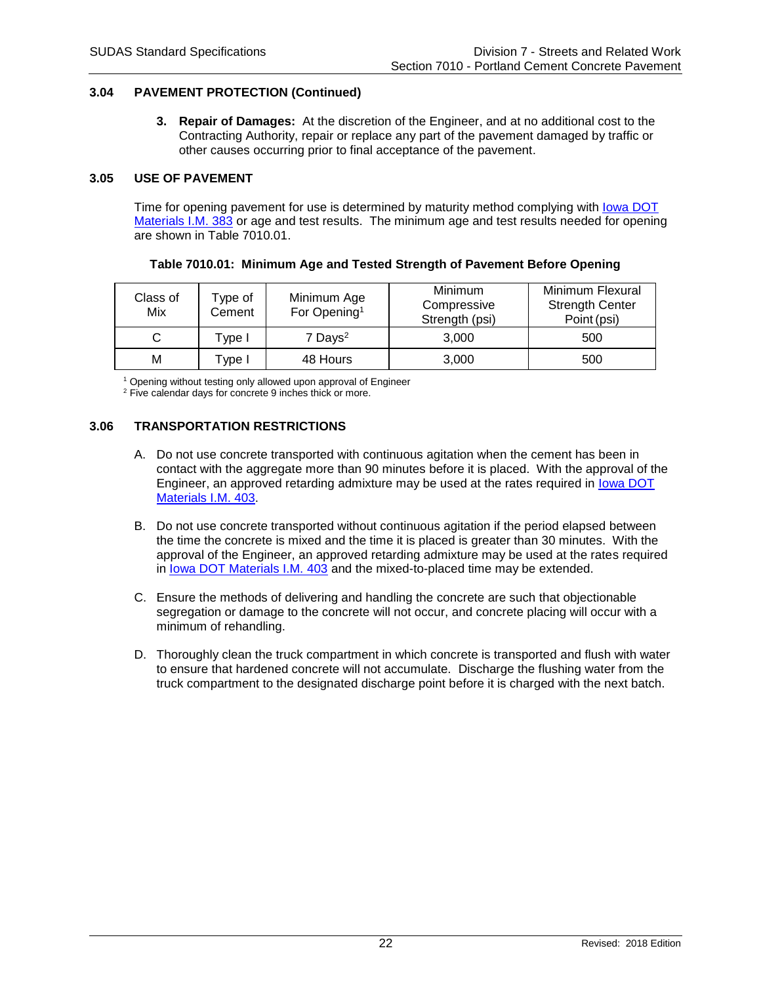## **3.04 PAVEMENT PROTECTION (Continued)**

**3. Repair of Damages:** At the discretion of the Engineer, and at no additional cost to the Contracting Authority, repair or replace any part of the pavement damaged by traffic or other causes occurring prior to final acceptance of the pavement.

### **3.05 USE OF PAVEMENT**

Time for opening pavement for use is determined by maturity method complying with [Iowa DOT](https://www.iowadot.gov/erl/current/IM/content/383.htm)  [Materials I.M. 383](https://www.iowadot.gov/erl/current/IM/content/383.htm) or age and test results. The minimum age and test results needed for opening are shown in Table 7010.01.

| Class of<br>Mix | Type of<br>Cement | Minimum Age<br>For Opening <sup>1</sup> | <b>Minimum</b><br>Compressive<br>Strength (psi) | Minimum Flexural<br><b>Strength Center</b><br>Point (psi) |
|-----------------|-------------------|-----------------------------------------|-------------------------------------------------|-----------------------------------------------------------|
|                 | ™vpe I            | $7$ Days <sup>2</sup>                   | 3.000                                           | 500                                                       |
| М               | Tvpe I            | 48 Hours                                | 3,000                                           | 500                                                       |

#### **Table 7010.01: Minimum Age and Tested Strength of Pavement Before Opening**

<sup>1</sup> Opening without testing only allowed upon approval of Engineer <sup>2</sup> Five calendar days for concrete 9 inches thick or more.

# **3.06 TRANSPORTATION RESTRICTIONS**

- A. Do not use concrete transported with continuous agitation when the cement has been in contact with the aggregate more than 90 minutes before it is placed. With the approval of the Engineer, an approved retarding admixture may be used at the rates required in [Iowa DOT](https://www.iowadot.gov/erl/current/IM/content/403.htm)  [Materials I.M. 403.](https://www.iowadot.gov/erl/current/IM/content/403.htm)
- B. Do not use concrete transported without continuous agitation if the period elapsed between the time the concrete is mixed and the time it is placed is greater than 30 minutes. With the approval of the Engineer, an approved retarding admixture may be used at the rates required in [Iowa DOT Materials I.M. 403](https://www.iowadot.gov/erl/current/IM/content/403.htm) and the mixed-to-placed time may be extended.
- C. Ensure the methods of delivering and handling the concrete are such that objectionable segregation or damage to the concrete will not occur, and concrete placing will occur with a minimum of rehandling.
- D. Thoroughly clean the truck compartment in which concrete is transported and flush with water to ensure that hardened concrete will not accumulate. Discharge the flushing water from the truck compartment to the designated discharge point before it is charged with the next batch.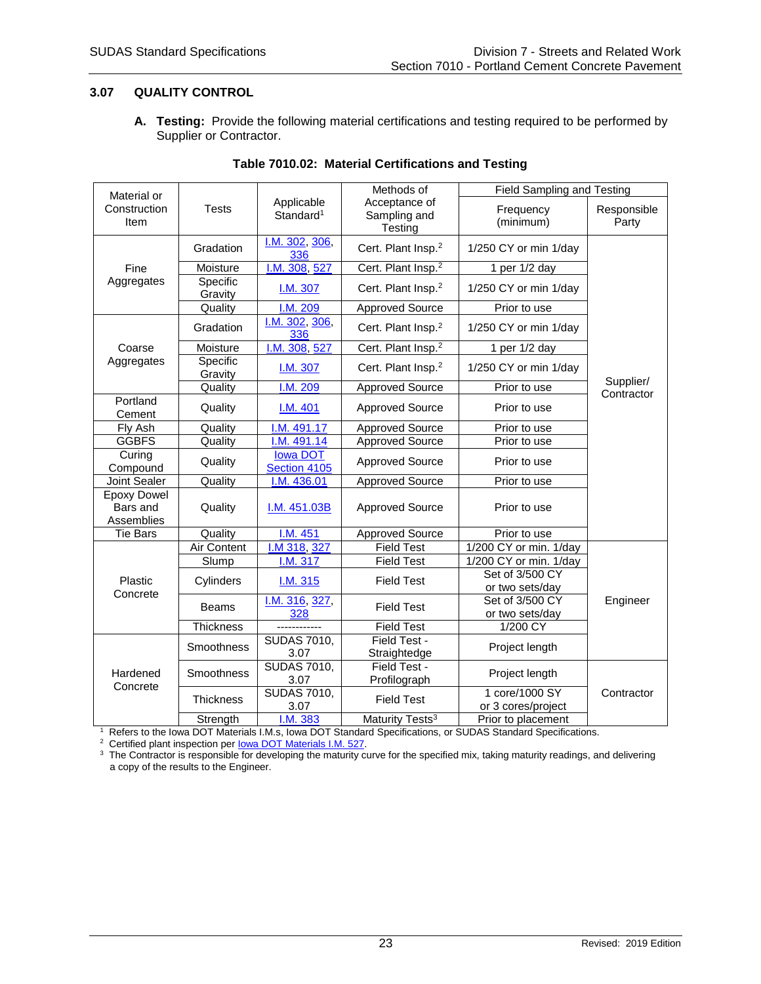# **3.07 QUALITY CONTROL**

**A. Testing:** Provide the following material certifications and testing required to be performed by Supplier or Contractor.

| Material or        |                   |                                     | Methods of                     | <b>Field Sampling and Testing</b> |             |
|--------------------|-------------------|-------------------------------------|--------------------------------|-----------------------------------|-------------|
| Construction       | <b>Tests</b>      | Applicable<br>Standard <sup>1</sup> | Acceptance of                  | Frequency                         | Responsible |
| Item               |                   |                                     | Sampling and                   | (minimum)                         | Party       |
|                    |                   |                                     | Testing                        |                                   |             |
|                    | Gradation         | I.M. 302, 306,<br>336               | Cert. Plant Insp. <sup>2</sup> | 1/250 CY or min 1/day             |             |
| Fine               | Moisture          | I.M. 308, 527                       | Cert. Plant Insp. <sup>2</sup> | 1 per 1/2 day                     |             |
| Aggregates         | Specific          |                                     |                                |                                   |             |
|                    | Gravity           | I.M. 307                            | Cert. Plant Insp. <sup>2</sup> | 1/250 CY or min 1/day             |             |
|                    | Quality           | I.M. 209                            | <b>Approved Source</b>         | Prior to use                      |             |
|                    |                   | I.M. 302, 306,                      |                                |                                   |             |
|                    | Gradation         | 336                                 | Cert. Plant Insp. <sup>2</sup> | 1/250 CY or min 1/day             |             |
| Coarse             | Moisture          | I.M. 308, 527                       | Cert. Plant Insp. <sup>2</sup> | 1 per 1/2 day                     |             |
| Aggregates         | Specific          | I.M. 307                            | Cert. Plant Insp. <sup>2</sup> | 1/250 CY or min 1/day             |             |
|                    | Gravity           | I.M. 209                            | <b>Approved Source</b>         | Prior to use                      | Supplier/   |
| Portland           | Quality           |                                     |                                |                                   | Contractor  |
| Cement             | Quality           | I.M. 401                            | <b>Approved Source</b>         | Prior to use                      |             |
| Fly Ash            | Quality           | I.M. 491.17                         | <b>Approved Source</b>         | Prior to use                      |             |
| <b>GGBFS</b>       | Quality           | I.M. 491.14                         | <b>Approved Source</b>         | Prior to use                      |             |
| Curing             |                   | lowa DOT                            |                                |                                   |             |
| Compound           | Quality           | Section 4105                        | <b>Approved Source</b>         | Prior to use                      |             |
| Joint Sealer       | Quality           | I.M. 436.01                         | <b>Approved Source</b>         | Prior to use                      |             |
| <b>Epoxy Dowel</b> |                   |                                     |                                |                                   |             |
| Bars and           | Quality           | I.M. 451.03B                        | <b>Approved Source</b>         | Prior to use                      |             |
| Assemblies         |                   |                                     |                                |                                   |             |
| <b>Tie Bars</b>    | Quality           | I.M. 451                            | <b>Approved Source</b>         | Prior to use                      |             |
|                    | Air Content       | I.M 318, 327                        | <b>Field Test</b>              | 1/200 CY or min. 1/day            |             |
|                    | Slump             | I.M. 317                            | <b>Field Test</b>              | 1/200 CY or min. 1/day            |             |
| Plastic            | Cylinders         |                                     | <b>Field Test</b>              | Set of 3/500 CY                   |             |
| Concrete           |                   | I.M. 315                            |                                | or two sets/day                   |             |
|                    | Beams             | I.M. 316, 327,                      |                                | Set of 3/500 CY                   | Engineer    |
|                    |                   | 328                                 | <b>Field Test</b>              | or two sets/day                   |             |
|                    | <b>Thickness</b>  | ------------                        | <b>Field Test</b>              | 1/200 CY                          |             |
|                    | <b>Smoothness</b> | <b>SUDAS 7010,</b>                  | Field Test -                   |                                   |             |
|                    |                   | 3.07                                | Straightedge                   | Project length                    |             |
| Hardened           | Smoothness        | <b>SUDAS 7010,</b>                  | Field Test -                   | Project length                    |             |
| Concrete           |                   | 3.07                                | Profilograph                   |                                   |             |
|                    | <b>Thickness</b>  | <b>SUDAS 7010,</b>                  | <b>Field Test</b>              | 1 core/1000 SY                    | Contractor  |
|                    |                   | 3.07                                |                                | or 3 cores/project                |             |
|                    | Strength          | I.M. 383                            | Maturity Tests <sup>3</sup>    | Prior to placement                |             |

# **Table 7010.02: Material Certifications and Testing**

Strength **1.M. 383** Maturity Tests<sup>3</sup> Prior to placement <br><sup>1</sup> Refers to the Iowa DOT Materials I.M.s, Iowa DOT Standard Specifications, or SUDAS Standard Specifications.<br><sup>2</sup> Certified plant inspection per <u>Iowa DOT Materia</u> a copy of the results to the Engineer.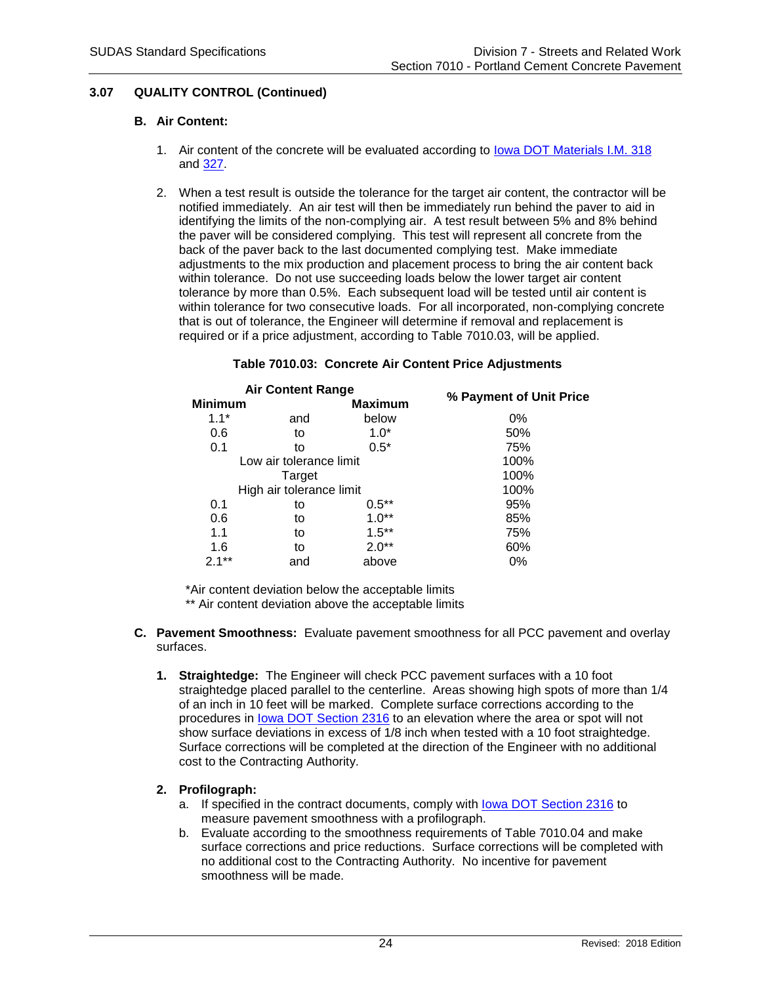# **3.07 QUALITY CONTROL (Continued)**

## **B. Air Content:**

- 1. Air content of the concrete will be evaluated according to [Iowa DOT Materials I.M.](https://www.iowadot.gov/erl/current/IM/content/318.htm) 318 and [327.](https://www.iowadot.gov/erl/current/IM/content/327.htm)
- 2. When a test result is outside the tolerance for the target air content, the contractor will be notified immediately. An air test will then be immediately run behind the paver to aid in identifying the limits of the non-complying air. A test result between 5% and 8% behind the paver will be considered complying. This test will represent all concrete from the back of the paver back to the last documented complying test. Make immediate adjustments to the mix production and placement process to bring the air content back within tolerance. Do not use succeeding loads below the lower target air content tolerance by more than 0.5%. Each subsequent load will be tested until air content is within tolerance for two consecutive loads. For all incorporated, non-complying concrete that is out of tolerance, the Engineer will determine if removal and replacement is required or if a price adjustment, according to Table 7010.03, will be applied.

|                | <b>Air Content Range</b> |                |                         |
|----------------|--------------------------|----------------|-------------------------|
| <b>Minimum</b> |                          | <b>Maximum</b> | % Payment of Unit Price |
| $1.1*$         | and                      | below          | $0\%$                   |
| 0.6            | to                       | $1.0*$         | 50%                     |
| 0.1            | to                       | $0.5*$         | 75%                     |
|                | Low air tolerance limit  |                | 100%                    |
|                | Target                   |                | 100%                    |
|                | High air tolerance limit |                | 100%                    |
| 0.1            | to                       | $0.5***$       | 95%                     |
| 0.6            | to                       | $1.0**$        | 85%                     |
| 1.1            | to                       | $1.5***$       | 75%                     |
| 1.6            | to                       | $2.0**$        | 60%                     |
| $2.1***$       | and                      | above          | $0\%$                   |
|                |                          |                |                         |

#### **Table 7010.03: Concrete Air Content Price Adjustments**

\*Air content deviation below the acceptable limits

\*\* Air content deviation above the acceptable limits

- **C. Pavement Smoothness:** Evaluate pavement smoothness for all PCC pavement and overlay surfaces.
	- **1. Straightedge:** The Engineer will check PCC pavement surfaces with a 10 foot straightedge placed parallel to the centerline. Areas showing high spots of more than 1/4 of an inch in 10 feet will be marked. Complete surface corrections according to the procedures in [Iowa DOT Section 2316](https://www.iowadot.gov/erl/current/GS/content/2316.htm) to an elevation where the area or spot will not show surface deviations in excess of 1/8 inch when tested with a 10 foot straightedge. Surface corrections will be completed at the direction of the Engineer with no additional cost to the Contracting Authority.

# **2. Profilograph:**

- a. If specified in the contract documents, comply with [Iowa DOT Section 2316](https://www.iowadot.gov/erl/current/GS/content/2316.htm) to measure pavement smoothness with a profilograph.
- b. Evaluate according to the smoothness requirements of Table 7010.04 and make surface corrections and price reductions. Surface corrections will be completed with no additional cost to the Contracting Authority. No incentive for pavement smoothness will be made.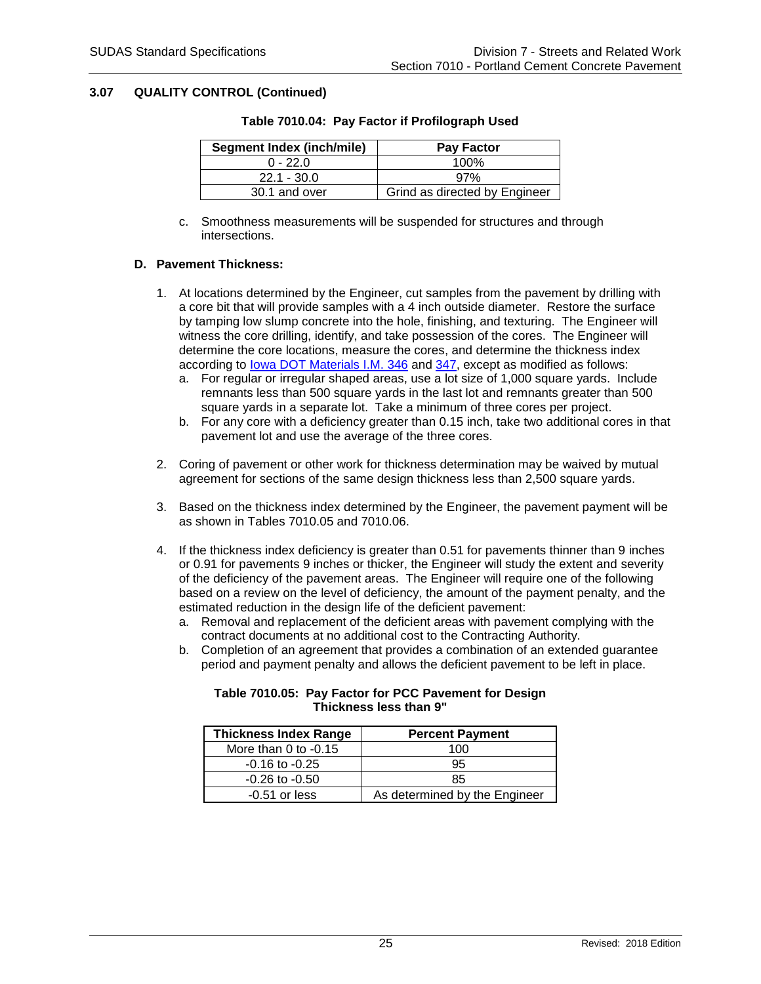## **3.07 QUALITY CONTROL (Continued)**

| <b>Segment Index (inch/mile)</b> | <b>Pay Factor</b>             |
|----------------------------------|-------------------------------|
| $0 - 22.0$                       | 100%                          |
| $22.1 - 30.0$                    | 97%                           |
| 30.1 and over                    | Grind as directed by Engineer |

## **Table 7010.04: Pay Factor if Profilograph Used**

c. Smoothness measurements will be suspended for structures and through intersections.

# **D. Pavement Thickness:**

- 1. At locations determined by the Engineer, cut samples from the pavement by drilling with a core bit that will provide samples with a 4 inch outside diameter. Restore the surface by tamping low slump concrete into the hole, finishing, and texturing. The Engineer will witness the core drilling, identify, and take possession of the cores. The Engineer will determine the core locations, measure the cores, and determine the thickness index according to [Iowa DOT Materials I.M. 346](https://www.iowadot.gov/erl/current/IM/content/346.htm) and [347,](https://www.iowadot.gov/erl/current/IM/content/347.htm) except as modified as follows:
	- a. For regular or irregular shaped areas, use a lot size of 1,000 square yards. Include remnants less than 500 square yards in the last lot and remnants greater than 500 square yards in a separate lot. Take a minimum of three cores per project.
	- b. For any core with a deficiency greater than 0.15 inch, take two additional cores in that pavement lot and use the average of the three cores.
- 2. Coring of pavement or other work for thickness determination may be waived by mutual agreement for sections of the same design thickness less than 2,500 square yards.
- 3. Based on the thickness index determined by the Engineer, the pavement payment will be as shown in Tables 7010.05 and 7010.06.
- 4. If the thickness index deficiency is greater than 0.51 for pavements thinner than 9 inches or 0.91 for pavements 9 inches or thicker, the Engineer will study the extent and severity of the deficiency of the pavement areas. The Engineer will require one of the following based on a review on the level of deficiency, the amount of the payment penalty, and the estimated reduction in the design life of the deficient pavement:
	- a. Removal and replacement of the deficient areas with pavement complying with the contract documents at no additional cost to the Contracting Authority.
	- b. Completion of an agreement that provides a combination of an extended guarantee period and payment penalty and allows the deficient pavement to be left in place.

| <b>Thickness Index Range</b> | <b>Percent Payment</b>        |
|------------------------------|-------------------------------|
| More than 0 to $-0.15$       | 100                           |
| $-0.16$ to $-0.25$           | 95                            |
| $-0.26$ to $-0.50$           | 85                            |
| $-0.51$ or less              | As determined by the Engineer |

## **Table 7010.05: Pay Factor for PCC Pavement for Design Thickness less than 9"**